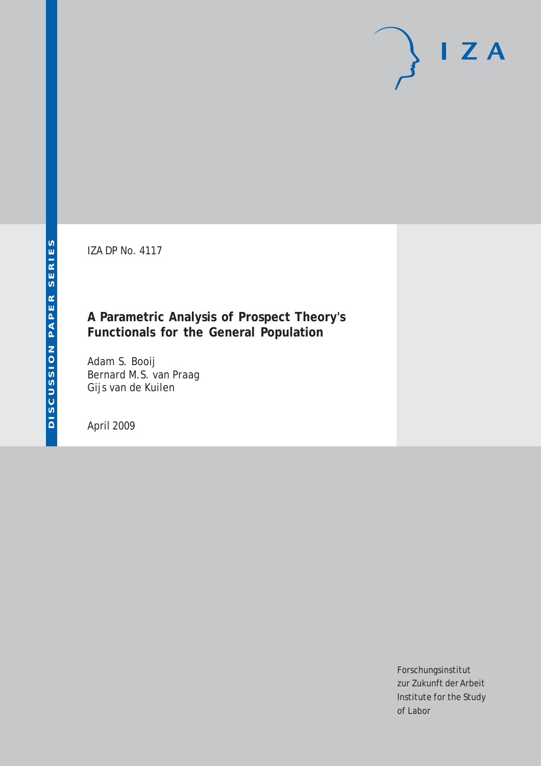IZA DP No. 4117

## **A Parametric Analysis of Prospect Theory's Functionals for the General Population**

Adam S. Booij Bernard M.S. van Praag Gijs van de Kuilen

April 2009

Forschungsinstitut zur Zukunft der Arbeit Institute for the Study of Labor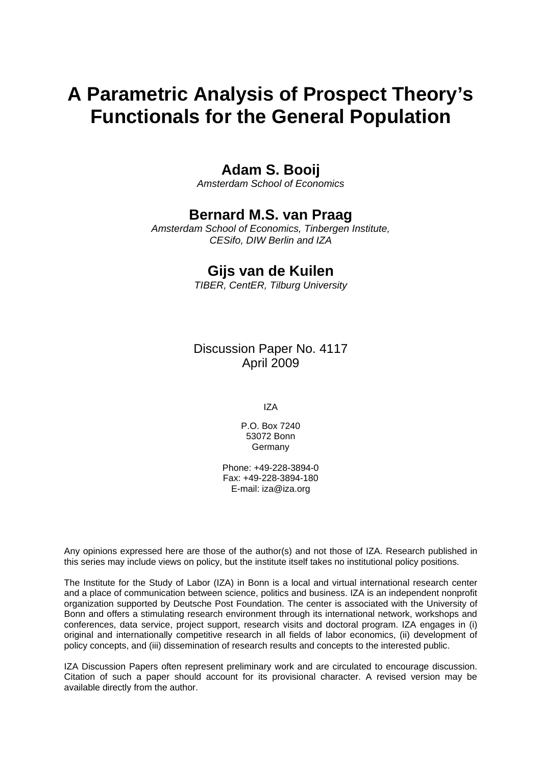# **A Parametric Analysis of Prospect Theory's Functionals for the General Population**

## **Adam S. Booij**

*Amsterdam School of Economics* 

## **Bernard M.S. van Praag**

*Amsterdam School of Economics, Tinbergen Institute, CESifo, DIW Berlin and IZA* 

## **Gijs van de Kuilen**

*TIBER, CentER, Tilburg University* 

Discussion Paper No. 4117 April 2009

IZA

P.O. Box 7240 53072 Bonn **Germany** 

Phone: +49-228-3894-0 Fax: +49-228-3894-180 E-mail: [iza@iza.org](mailto:iza@iza.org)

Any opinions expressed here are those of the author(s) and not those of IZA. Research published in this series may include views on policy, but the institute itself takes no institutional policy positions.

The Institute for the Study of Labor (IZA) in Bonn is a local and virtual international research center and a place of communication between science, politics and business. IZA is an independent nonprofit organization supported by Deutsche Post Foundation. The center is associated with the University of Bonn and offers a stimulating research environment through its international network, workshops and conferences, data service, project support, research visits and doctoral program. IZA engages in (i) original and internationally competitive research in all fields of labor economics, (ii) development of policy concepts, and (iii) dissemination of research results and concepts to the interested public.

IZA Discussion Papers often represent preliminary work and are circulated to encourage discussion. Citation of such a paper should account for its provisional character. A revised version may be available directly from the author.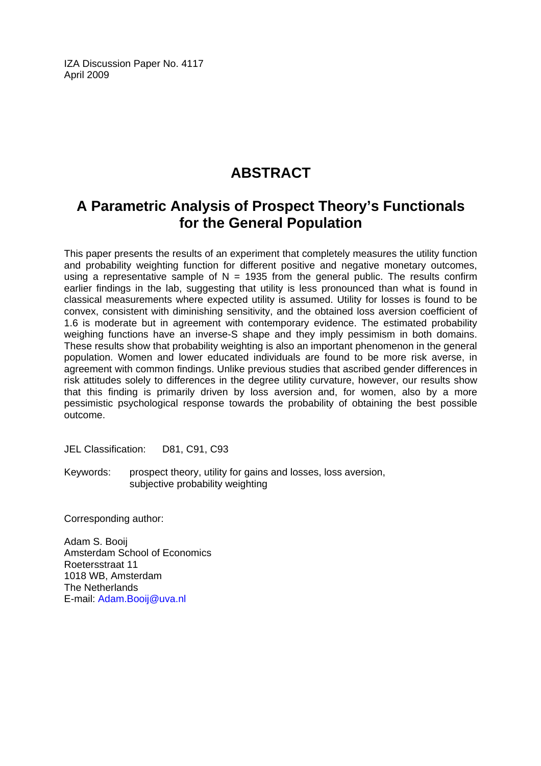IZA Discussion Paper No. 4117 April 2009

## **ABSTRACT**

## **A Parametric Analysis of Prospect Theory's Functionals for the General Population**

This paper presents the results of an experiment that completely measures the utility function and probability weighting function for different positive and negative monetary outcomes, using a representative sample of  $N = 1935$  from the general public. The results confirm earlier findings in the lab, suggesting that utility is less pronounced than what is found in classical measurements where expected utility is assumed. Utility for losses is found to be convex, consistent with diminishing sensitivity, and the obtained loss aversion coefficient of 1.6 is moderate but in agreement with contemporary evidence. The estimated probability weighing functions have an inverse-S shape and they imply pessimism in both domains. These results show that probability weighting is also an important phenomenon in the general population. Women and lower educated individuals are found to be more risk averse, in agreement with common findings. Unlike previous studies that ascribed gender differences in risk attitudes solely to differences in the degree utility curvature, however, our results show that this finding is primarily driven by loss aversion and, for women, also by a more pessimistic psychological response towards the probability of obtaining the best possible outcome.

JEL Classification: D81, C91, C93

Keywords: prospect theory, utility for gains and losses, loss aversion, subjective probability weighting

Corresponding author:

Adam S. Booij Amsterdam School of Economics Roetersstraat 11 1018 WB, Amsterdam The Netherlands E-mail: [Adam.Booij@uva.nl](mailto:Adam.Booij@uva.nl)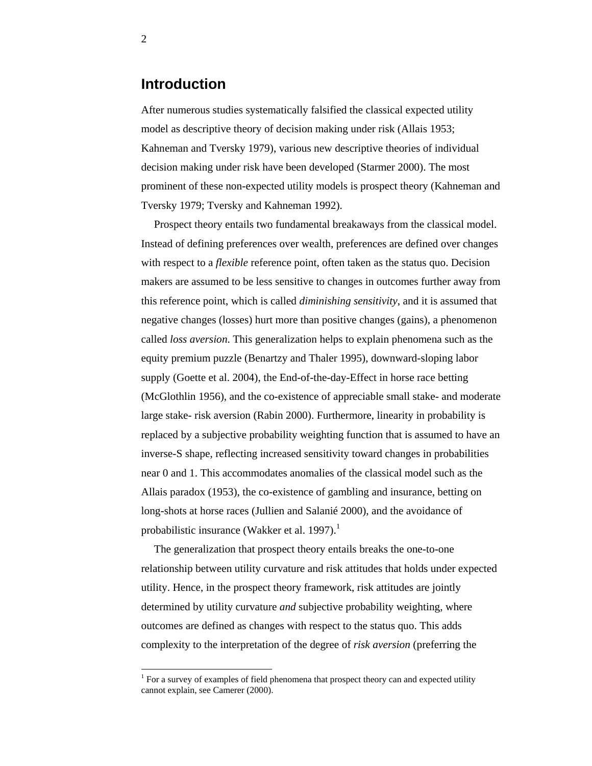## **Introduction**

After numerous studies systematically falsified the classical expected utility model as descriptive theory of decision making under risk (Allais 1953; Kahneman and Tversky 1979), various new descriptive theories of individual decision making under risk have been developed (Starmer 2000). The most prominent of these non-expected utility models is prospect theory (Kahneman and Tversky 1979; Tversky and Kahneman 1992).

Prospect theory entails two fundamental breakaways from the classical model. Instead of defining preferences over wealth, preferences are defined over changes with respect to a *flexible* reference point, often taken as the status quo. Decision makers are assumed to be less sensitive to changes in outcomes further away from this reference point, which is called *diminishing sensitivity*, and it is assumed that negative changes (losses) hurt more than positive changes (gains), a phenomenon called *loss aversion*. This generalization helps to explain phenomena such as the equity premium puzzle (Benartzy and Thaler 1995), downward-sloping labor supply (Goette et al. 2004), the End-of-the-day-Effect in horse race betting (McGlothlin 1956), and the co-existence of appreciable small stake- and moderate large stake- risk aversion (Rabin 2000). Furthermore, linearity in probability is replaced by a subjective probability weighting function that is assumed to have an inverse-S shape, reflecting increased sensitivity toward changes in probabilities near 0 and 1. This accommodates anomalies of the classical model such as the Allais paradox (1953), the co-existence of gambling and insurance, betting on long-shots at horse races (Jullien and Salanié 2000), and the avoidance of probabilistic insurance (Wakker et al. 1997).<sup>1</sup>

The generalization that prospect theory entails breaks the one-to-one relationship between utility curvature and risk attitudes that holds under expected utility. Hence, in the prospect theory framework, risk attitudes are jointly determined by utility curvature *and* subjective probability weighting, where outcomes are defined as changes with respect to the status quo. This adds complexity to the interpretation of the degree of *risk aversion* (preferring the

 $\overline{\phantom{a}}$ 

 $1$  For a survey of examples of field phenomena that prospect theory can and expected utility cannot explain, see Camerer (2000).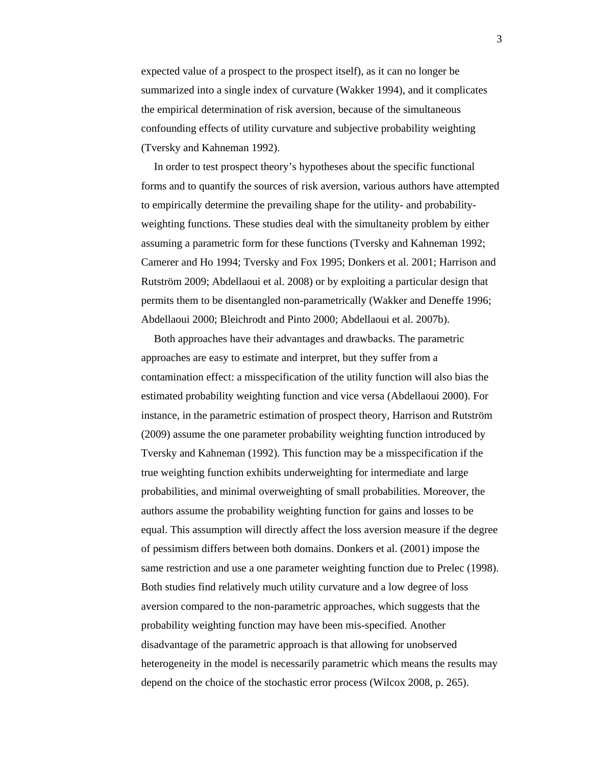expected value of a prospect to the prospect itself), as it can no longer be summarized into a single index of curvature (Wakker 1994), and it complicates the empirical determination of risk aversion, because of the simultaneous confounding effects of utility curvature and subjective probability weighting (Tversky and Kahneman 1992).

In order to test prospect theory's hypotheses about the specific functional forms and to quantify the sources of risk aversion, various authors have attempted to empirically determine the prevailing shape for the utility- and probabilityweighting functions. These studies deal with the simultaneity problem by either assuming a parametric form for these functions (Tversky and Kahneman 1992; Camerer and Ho 1994; Tversky and Fox 1995; Donkers et al. 2001; Harrison and Rutström 2009; Abdellaoui et al. 2008) or by exploiting a particular design that permits them to be disentangled non-parametrically (Wakker and Deneffe 1996; Abdellaoui 2000; Bleichrodt and Pinto 2000; Abdellaoui et al. 2007b).

Both approaches have their advantages and drawbacks. The parametric approaches are easy to estimate and interpret, but they suffer from a contamination effect: a misspecification of the utility function will also bias the estimated probability weighting function and vice versa (Abdellaoui 2000). For instance, in the parametric estimation of prospect theory, Harrison and Rutström (2009) assume the one parameter probability weighting function introduced by Tversky and Kahneman (1992). This function may be a misspecification if the true weighting function exhibits underweighting for intermediate and large probabilities, and minimal overweighting of small probabilities. Moreover, the authors assume the probability weighting function for gains and losses to be equal. This assumption will directly affect the loss aversion measure if the degree of pessimism differs between both domains. Donkers et al. (2001) impose the same restriction and use a one parameter weighting function due to Prelec (1998). Both studies find relatively much utility curvature and a low degree of loss aversion compared to the non-parametric approaches, which suggests that the probability weighting function may have been mis-specified. Another disadvantage of the parametric approach is that allowing for unobserved heterogeneity in the model is necessarily parametric which means the results may depend on the choice of the stochastic error process (Wilcox 2008, p. 265).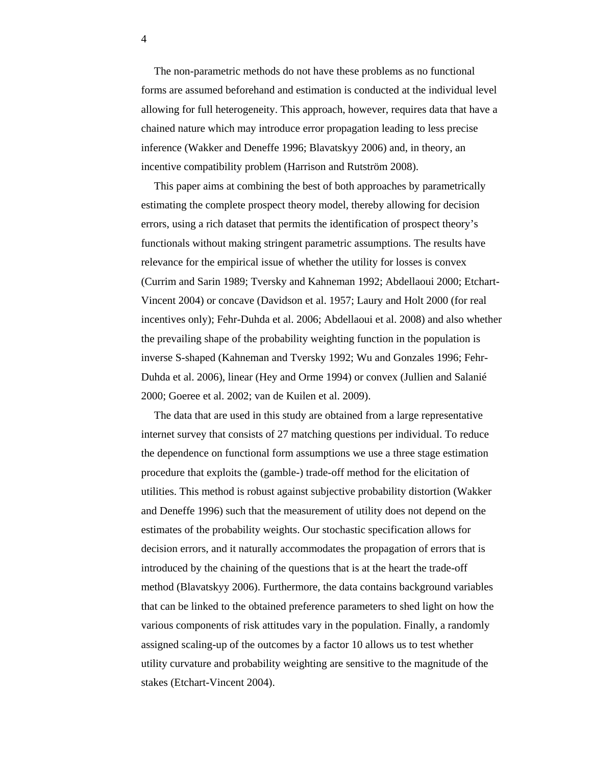The non-parametric methods do not have these problems as no functional forms are assumed beforehand and estimation is conducted at the individual level allowing for full heterogeneity. This approach, however, requires data that have a chained nature which may introduce error propagation leading to less precise inference (Wakker and Deneffe 1996; Blavatskyy 2006) and, in theory, an incentive compatibility problem (Harrison and Rutström 2008).

This paper aims at combining the best of both approaches by parametrically estimating the complete prospect theory model, thereby allowing for decision errors, using a rich dataset that permits the identification of prospect theory's functionals without making stringent parametric assumptions. The results have relevance for the empirical issue of whether the utility for losses is convex (Currim and Sarin 1989; Tversky and Kahneman 1992; Abdellaoui 2000; Etchart-Vincent 2004) or concave (Davidson et al. 1957; Laury and Holt 2000 (for real incentives only); Fehr-Duhda et al. 2006; Abdellaoui et al. 2008) and also whether the prevailing shape of the probability weighting function in the population is inverse S-shaped (Kahneman and Tversky 1992; Wu and Gonzales 1996; Fehr-Duhda et al. 2006), linear (Hey and Orme 1994) or convex (Jullien and Salanié 2000; Goeree et al. 2002; van de Kuilen et al. 2009).

The data that are used in this study are obtained from a large representative internet survey that consists of 27 matching questions per individual. To reduce the dependence on functional form assumptions we use a three stage estimation procedure that exploits the (gamble-) trade-off method for the elicitation of utilities. This method is robust against subjective probability distortion (Wakker and Deneffe 1996) such that the measurement of utility does not depend on the estimates of the probability weights. Our stochastic specification allows for decision errors, and it naturally accommodates the propagation of errors that is introduced by the chaining of the questions that is at the heart the trade-off method (Blavatskyy 2006). Furthermore, the data contains background variables that can be linked to the obtained preference parameters to shed light on how the various components of risk attitudes vary in the population. Finally, a randomly assigned scaling-up of the outcomes by a factor 10 allows us to test whether utility curvature and probability weighting are sensitive to the magnitude of the stakes (Etchart-Vincent 2004).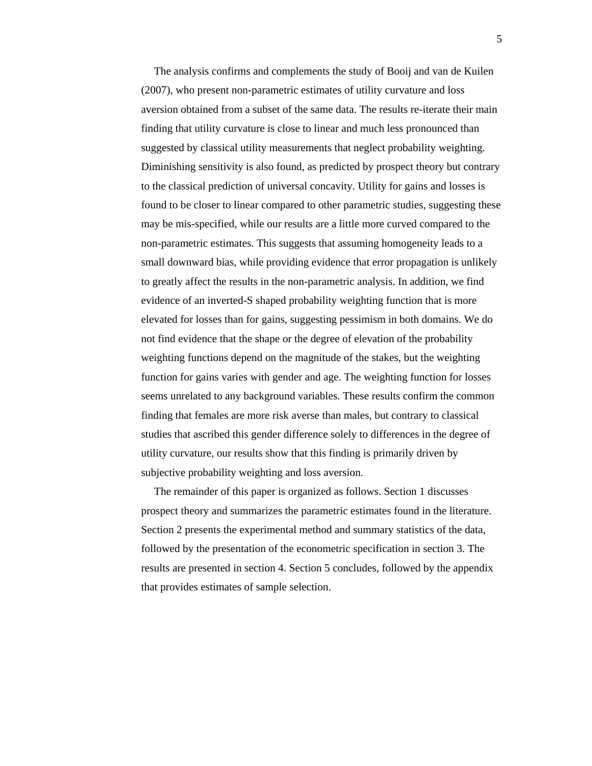The analysis confirms and complements the study of Booij and van de Kuilen (2007), who present non-parametric estimates of utility curvature and loss aversion obtained from a subset of the same data. The results re-iterate their main finding that utility curvature is close to linear and much less pronounced than suggested by classical utility measurements that neglect probability weighting. Diminishing sensitivity is also found, as predicted by prospect theory but contrary to the classical prediction of universal concavity. Utility for gains and losses is found to be closer to linear compared to other parametric studies, suggesting these may be mis-specified, while our results are a little more curved compared to the non-parametric estimates. This suggests that assuming homogeneity leads to a small downward bias, while providing evidence that error propagation is unlikely to greatly affect the results in the non-parametric analysis. In addition, we find evidence of an inverted-S shaped probability weighting function that is more elevated for losses than for gains, suggesting pessimism in both domains. We do not find evidence that the shape or the degree of elevation of the probability weighting functions depend on the magnitude of the stakes, but the weighting function for gains varies with gender and age. The weighting function for losses seems unrelated to any background variables. These results confirm the common finding that females are more risk averse than males, but contrary to classical studies that ascribed this gender difference solely to differences in the degree of utility curvature, our results show that this finding is primarily driven by subjective probability weighting and loss aversion.

The remainder of this paper is organized as follows. Section 1 discusses prospect theory and summarizes the parametric estimates found in the literature. Section 2 presents the experimental method and summary statistics of the data, followed by the presentation of the econometric specification in section 3. The results are presented in section 4. Section 5 concludes, followed by the appendix that provides estimates of sample selection.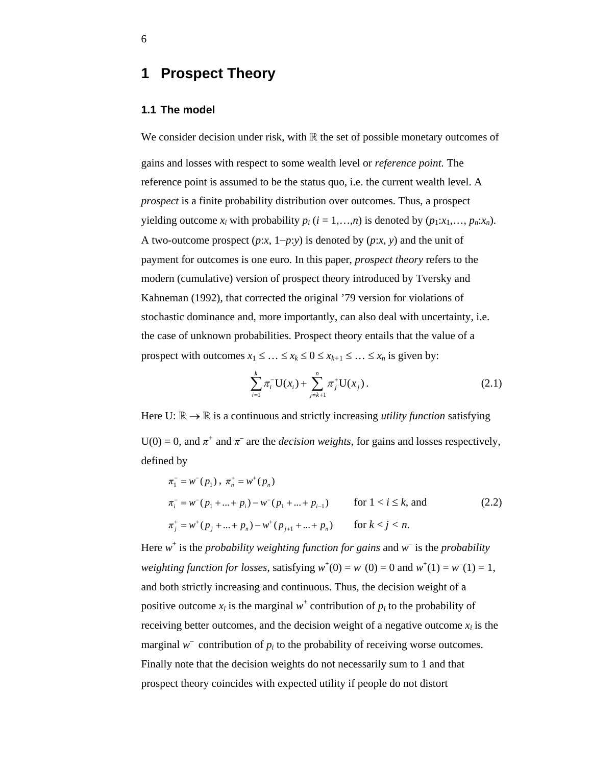### **1 Prospect Theory**

#### **1.1 The model**

We consider decision under risk, with  $\mathbb R$  the set of possible monetary outcomes of gains and losses with respect to some wealth level or *reference point.* The reference point is assumed to be the status quo, i.e. the current wealth level. A *prospect* is a finite probability distribution over outcomes. Thus, a prospect yielding outcome  $x_i$  with probability  $p_i$  ( $i = 1,...,n$ ) is denoted by ( $p_1:x_1,..., p_n:x_n$ ). A two-outcome prospect (*p*:*x*, 1−*p*:*y*) is denoted by (*p*:*x*, *y*) and the unit of payment for outcomes is one euro. In this paper, *prospect theory* refers to the modern (cumulative) version of prospect theory introduced by Tversky and Kahneman (1992), that corrected the original '79 version for violations of stochastic dominance and, more importantly, can also deal with uncertainty, i.e. the case of unknown probabilities. Prospect theory entails that the value of a prospect with outcomes  $x_1 \leq ... \leq x_k \leq 0 \leq x_{k+1} \leq ... \leq x_n$  is given by:

$$
\sum_{i=1}^{k} \pi_i^{-} U(x_i) + \sum_{j=k+1}^{n} \pi_j^{+} U(x_j).
$$
 (2.1)

Here U:  $\mathbb{R} \to \mathbb{R}$  is a continuous and strictly increasing *utility function* satisfying  $U(0) = 0$ , and  $\pi^+$  and  $\pi^-$  are the *decision weights*, for gains and losses respectively, defined by

$$
\pi_1^- = w^-(p_1), \ \pi_n^+ = w^+(p_n)
$$
\n
$$
\pi_i^- = w^-(p_1 + ... + p_i) - w^-(p_1 + ... + p_{i-1}) \qquad \text{for } 1 < i \le k, \text{ and}
$$
\n
$$
\pi_j^+ = w^+(p_j + ... + p_n) - w^+(p_{j+1} + ... + p_n) \qquad \text{for } k < j < n.
$$
\n(2.2)

Here  $w^+$  is the *probability weighting function for gains* and  $w^-$  is the *probability weighting function for losses*, satisfying  $w^+(0) = w^-(0) = 0$  and  $w^+(1) = w^-(1) = 1$ , and both strictly increasing and continuous. Thus, the decision weight of a positive outcome  $x_i$  is the marginal  $w^+$  contribution of  $p_i$  to the probability of receiving better outcomes, and the decision weight of a negative outcome  $x_i$  is the marginal *w*<sup>−</sup> contribution of *p<sub>i</sub>* to the probability of receiving worse outcomes. Finally note that the decision weights do not necessarily sum to 1 and that prospect theory coincides with expected utility if people do not distort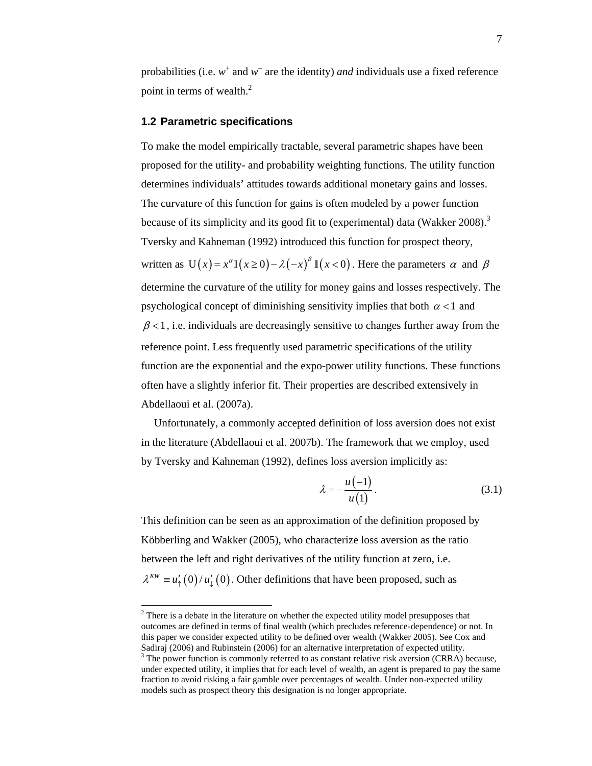probabilities (i.e. *w*<sup>+</sup> and *w*<sup>−</sup> are the identity) *and* individuals use a fixed reference point in terms of wealth.<sup>2</sup>

#### **1.2 Parametric specifications**

 $\overline{\phantom{a}}$ 

To make the model empirically tractable, several parametric shapes have been proposed for the utility- and probability weighting functions. The utility function determines individuals' attitudes towards additional monetary gains and losses. The curvature of this function for gains is often modeled by a power function because of its simplicity and its good fit to (experimental) data (Wakker 2008).<sup>3</sup> Tversky and Kahneman (1992) introduced this function for prospect theory, written as  $U(x) = x^{\alpha} 1(x \ge 0) - \lambda (-x)^{\beta} 1(x < 0)$ . Here the parameters  $\alpha$  and  $\beta$ determine the curvature of the utility for money gains and losses respectively. The psychological concept of diminishing sensitivity implies that both  $\alpha$  < 1 and  $\beta$  < 1, i.e. individuals are decreasingly sensitive to changes further away from the reference point. Less frequently used parametric specifications of the utility function are the exponential and the expo-power utility functions. These functions often have a slightly inferior fit. Their properties are described extensively in Abdellaoui et al. (2007a).

Unfortunately, a commonly accepted definition of loss aversion does not exist in the literature (Abdellaoui et al. 2007b). The framework that we employ, used by Tversky and Kahneman (1992), defines loss aversion implicitly as:

$$
\lambda = -\frac{u(-1)}{u(1)}.\tag{3.1}
$$

This definition can be seen as an approximation of the definition proposed by Köbberling and Wakker (2005), who characterize loss aversion as the ratio between the left and right derivatives of the utility function at zero, i.e.  $\lambda^{KW} \equiv u'_*$  (0) /  $u'_+$  (0). Other definitions that have been proposed, such as

 $2^2$  There is a debate in the literature on whether the expected utility model presupposes that outcomes are defined in terms of final wealth (which precludes reference-dependence) or not. In this paper we consider expected utility to be defined over wealth (Wakker 2005). See Cox and Sadiraj (2006) and Rubinstein (2006) for an alternative interpretation of expected utility.

 $3$  The power function is commonly referred to as constant relative risk aversion (CRRA) because, under expected utility, it implies that for each level of wealth, an agent is prepared to pay the same fraction to avoid risking a fair gamble over percentages of wealth. Under non-expected utility models such as prospect theory this designation is no longer appropriate.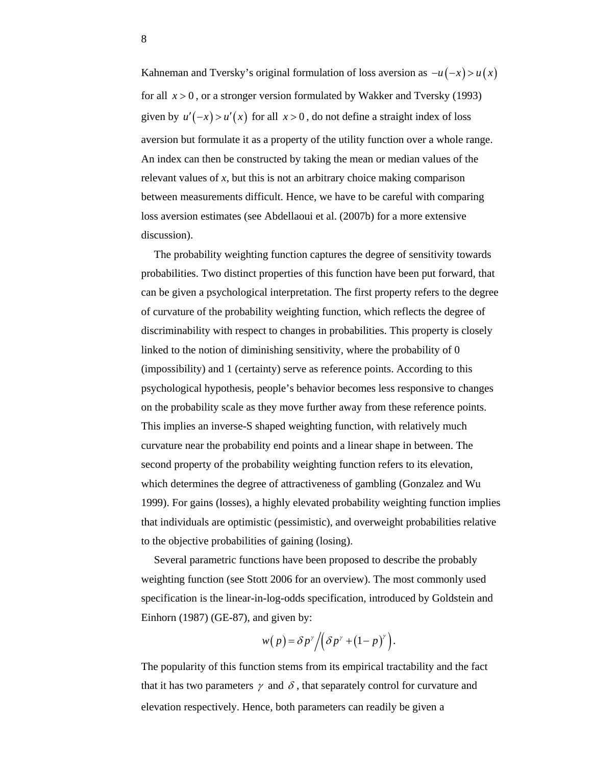Kahneman and Tversky's original formulation of loss aversion as  $-u(-x) > u(x)$ for all  $x > 0$ , or a stronger version formulated by Wakker and Tversky (1993) given by  $u'(-x) > u'(x)$  for all  $x > 0$ , do not define a straight index of loss aversion but formulate it as a property of the utility function over a whole range. An index can then be constructed by taking the mean or median values of the relevant values of *x*, but this is not an arbitrary choice making comparison between measurements difficult. Hence, we have to be careful with comparing loss aversion estimates (see Abdellaoui et al. (2007b) for a more extensive discussion).

The probability weighting function captures the degree of sensitivity towards probabilities. Two distinct properties of this function have been put forward, that can be given a psychological interpretation. The first property refers to the degree of curvature of the probability weighting function, which reflects the degree of discriminability with respect to changes in probabilities. This property is closely linked to the notion of diminishing sensitivity, where the probability of 0 (impossibility) and 1 (certainty) serve as reference points. According to this psychological hypothesis, people's behavior becomes less responsive to changes on the probability scale as they move further away from these reference points. This implies an inverse-S shaped weighting function, with relatively much curvature near the probability end points and a linear shape in between. The second property of the probability weighting function refers to its elevation, which determines the degree of attractiveness of gambling (Gonzalez and Wu 1999). For gains (losses), a highly elevated probability weighting function implies that individuals are optimistic (pessimistic), and overweight probabilities relative to the objective probabilities of gaining (losing).

Several parametric functions have been proposed to describe the probably weighting function (see Stott 2006 for an overview). The most commonly used specification is the linear-in-log-odds specification, introduced by Goldstein and Einhorn (1987) (GE-87), and given by:

$$
w(p) = \frac{\delta p^{\gamma}}{\delta p^{\gamma} + (1-p)^{\gamma}}.
$$

The popularity of this function stems from its empirical tractability and the fact that it has two parameters  $\gamma$  and  $\delta$ , that separately control for curvature and elevation respectively. Hence, both parameters can readily be given a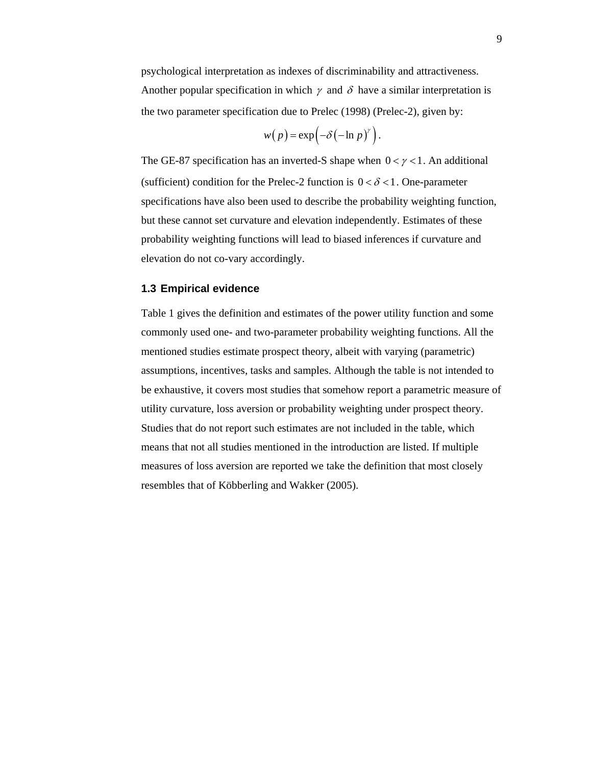psychological interpretation as indexes of discriminability and attractiveness. Another popular specification in which  $\gamma$  and  $\delta$  have a similar interpretation is the two parameter specification due to Prelec (1998) (Prelec-2), given by:

$$
w(p) = \exp(-\delta(-\ln p)^r).
$$

The GE-87 specification has an inverted-S shape when  $0 < \gamma < 1$ . An additional (sufficient) condition for the Prelec-2 function is  $0 < \delta < 1$ . One-parameter specifications have also been used to describe the probability weighting function, but these cannot set curvature and elevation independently. Estimates of these probability weighting functions will lead to biased inferences if curvature and elevation do not co-vary accordingly.

#### **1.3 Empirical evidence**

Table 1 gives the definition and estimates of the power utility function and some commonly used one- and two-parameter probability weighting functions. All the mentioned studies estimate prospect theory, albeit with varying (parametric) assumptions, incentives, tasks and samples. Although the table is not intended to be exhaustive, it covers most studies that somehow report a parametric measure of utility curvature, loss aversion or probability weighting under prospect theory. Studies that do not report such estimates are not included in the table, which means that not all studies mentioned in the introduction are listed. If multiple measures of loss aversion are reported we take the definition that most closely resembles that of Köbberling and Wakker (2005).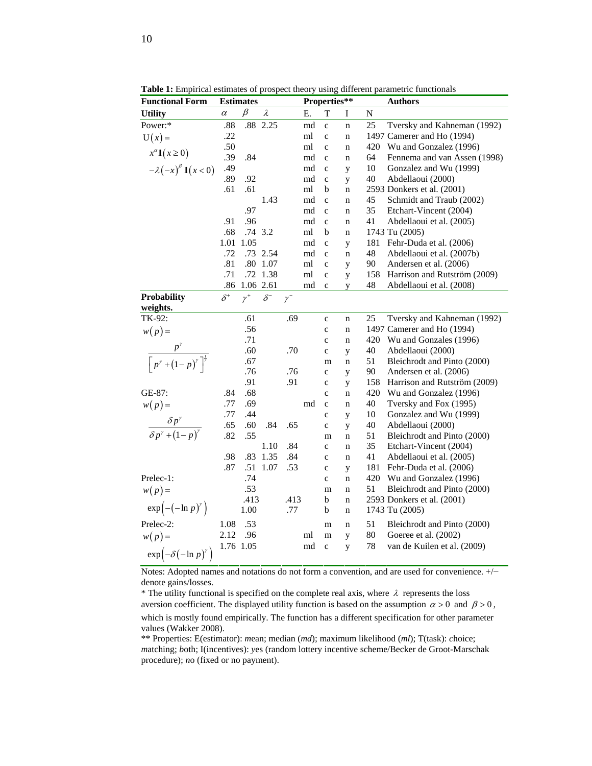| <b>Table 1.</b> Empirical estimates of prospect theory using unferent parametric functionals<br><b>Functional Form</b> | <b>Estimates</b> |              |              |              | Properties** |              |                  |     | <b>Authors</b>                               |
|------------------------------------------------------------------------------------------------------------------------|------------------|--------------|--------------|--------------|--------------|--------------|------------------|-----|----------------------------------------------|
| <b>Utility</b>                                                                                                         | $\alpha$         | $\beta$      | $\lambda$    |              | Е.           | $\mathbf T$  | Ι                | N   |                                              |
| Power:*                                                                                                                | .88              |              | .88 2.25     |              | md           | $\mathbf c$  | n                | 25  | Tversky and Kahneman (1992)                  |
| $U(x) =$                                                                                                               | .22              |              |              |              | ml           | $\mathbf c$  | n                |     | 1497 Camerer and Ho (1994)                   |
|                                                                                                                        | .50              |              |              |              | ml           | $\mathbf c$  | $\mathbf n$      | 420 | Wu and Gonzalez (1996)                       |
| $x^{\alpha}1(x\geq 0)$                                                                                                 | .39              | .84          |              |              | md           | $\mathbf c$  | $\mathbf n$      | 64  | Fennema and van Assen (1998)                 |
| $-\lambda(-x)^{\beta}1(x<0)$                                                                                           | .49              |              |              |              | md           | $\mathbf c$  | y                | 10  | Gonzalez and Wu (1999)                       |
|                                                                                                                        | .89              | .92          |              |              | md           | $\mathbf c$  | y                | 40  | Abdellaoui (2000)                            |
|                                                                                                                        | .61              | .61          |              |              | ml           | b            | $\mathbf n$      |     | 2593 Donkers et al. (2001)                   |
|                                                                                                                        |                  |              | 1.43         |              | md           | $\mathbf{c}$ | $\mathbf n$      | 45  | Schmidt and Traub (2002)                     |
|                                                                                                                        |                  | .97          |              |              | md           | $\mathbf c$  | n                | 35  | Etchart-Vincent (2004)                       |
|                                                                                                                        | .91              | .96          |              |              | md           | $\mathbf c$  | n                | 41  | Abdellaoui et al. (2005)                     |
|                                                                                                                        | .68              | .74 3.2      |              |              | ml           | b            | n                |     | 1743 Tu (2005)                               |
|                                                                                                                        | 1.01             | 1.05         |              |              | md           | $\mathbf c$  | y                | 181 | Fehr-Duda et al. (2006)                      |
|                                                                                                                        | .72              |              | .73 2.54     |              | md           | $\mathbf c$  | $\mathbf n$      | 48  | Abdellaoui et al. (2007b)                    |
|                                                                                                                        | .81              |              | .80 1.07     |              | ml           | $\mathbf c$  | y                | 90  | Andersen et al. (2006)                       |
|                                                                                                                        | .71              |              | .72 1.38     |              | ml           | $\mathbf c$  | y                | 158 | Harrison and Rutström (2009)                 |
|                                                                                                                        | .86              | 1.06 2.61    |              |              | md           | $\mathbf c$  | y                | 48  | Abdellaoui et al. (2008)                     |
| Probability                                                                                                            | $\delta^*$       | $\nu^+$      | $\delta^{-}$ | $\gamma^{-}$ |              |              |                  |     |                                              |
| weights.                                                                                                               |                  |              |              |              |              |              |                  |     |                                              |
| TK-92:                                                                                                                 |                  | .61          |              | .69          |              | $\mathbf c$  | $\mathbf n$      | 25  | Tversky and Kahneman (1992)                  |
| $w(p) =$                                                                                                               |                  | .56          |              |              |              | $\mathbf c$  | n                |     | 1497 Camerer and Ho (1994)                   |
|                                                                                                                        |                  | .71          |              |              |              | $\mathbf c$  | $\mathbf n$      | 420 | Wu and Gonzales (1996)                       |
| $\frac{p^{y}}{\left\lceil p^{y}+(1-p)^{y}\right\rceil^{\frac{1}{y}}}$                                                  |                  | .60          |              | .70          |              | $\mathbf c$  | y                | 40  | Abdellaoui (2000)                            |
|                                                                                                                        |                  | .67          |              |              |              | m            | $\mathbf n$      | 51  | Bleichrodt and Pinto (2000)                  |
|                                                                                                                        |                  | .76          |              | .76          |              | $\mathbf c$  | y                | 90  | Andersen et al. (2006)                       |
|                                                                                                                        |                  | .91          |              | .91          |              | $\mathbf c$  | y                | 158 | Harrison and Rutström (2009)                 |
| GE-87:                                                                                                                 | .84              | .68          |              |              |              | $\mathbf c$  | $\mathbf n$      | 420 | Wu and Gonzalez (1996)                       |
| $w(p) =$                                                                                                               | $.77$            | .69          |              |              | md           | $\mathbf c$  | $\mathbf n$      | 40  | Tversky and Fox (1995)                       |
|                                                                                                                        | .77              | .44          |              |              |              | $\mathbf c$  | y                | 10  | Gonzalez and Wu (1999)                       |
| $\frac{\delta p^{\gamma}}{\delta p^{\gamma}+(1-p)^{\gamma}}$                                                           | .65              | .60          | .84          | .65          |              | $\mathbf c$  | y                | 40  | Abdellaoui (2000)                            |
|                                                                                                                        | .82              | .55          |              |              |              | m            | $\mathbf n$      | 51  | Bleichrodt and Pinto (2000)                  |
|                                                                                                                        |                  |              | 1.10         | .84          |              | $\mathbf c$  | n                | 35  | Etchart-Vincent (2004)                       |
|                                                                                                                        | .98              | .83          | 1.35         | .84          |              | $\mathbf c$  | $\mathbf n$      | 41  | Abdellaoui et al. (2005)                     |
|                                                                                                                        | .87              | .51          | 1.07         | .53          |              | $\mathbf c$  | y                | 181 | Fehr-Duda et al. (2006)                      |
| Prelec-1:                                                                                                              |                  | .74          |              |              |              | $\mathbf{c}$ | n                | 420 | Wu and Gonzalez (1996)                       |
| $w(p) =$                                                                                                               |                  | .53          |              |              |              | m            | n                | 51  | Bleichrodt and Pinto (2000)                  |
| $\exp\left(-(-\ln p)^r\right)$                                                                                         |                  | .413<br>1.00 |              | .413<br>.77  |              | b<br>b       | $\mathbf n$<br>n |     | 2593 Donkers et al. (2001)<br>1743 Tu (2005) |
| Prelec-2:                                                                                                              | 1.08             | .53          |              |              |              | m            | n                | 51  | Bleichrodt and Pinto (2000)                  |
| $w(p) =$                                                                                                               | 2.12             | .96          |              |              | ml           | m            | y                | 80  | Goeree et al. (2002)                         |
| $\exp(-\delta(-\ln p)^r)$                                                                                              | 1.76 1.05        |              |              |              | md           | $\mathbf c$  | y                | 78  | van de Kuilen et al. (2009)                  |

**Table 1:** Empirical estimates of prospect theory using different parametric functionals

Notes: Adopted names and notations do not form a convention, and are used for convenience. +/− denote gains/losses.

\* The utility functional is specified on the complete real axis, where  $\lambda$  represents the loss aversion coefficient. The displayed utility function is based on the assumption  $\alpha > 0$  and  $\beta > 0$ , which is mostly found empirically. The function has a different specification for other parameter values (Wakker 2008).

\*\* Properties: E(estimator): *m*ean; median (*md*); maximum likelihood (*ml*); T(task): *c*hoice; *m*atching; *b*oth; I(incentives): *y*es (random lottery incentive scheme/Becker de Groot-Marschak procedure); *n*o (fixed or no payment).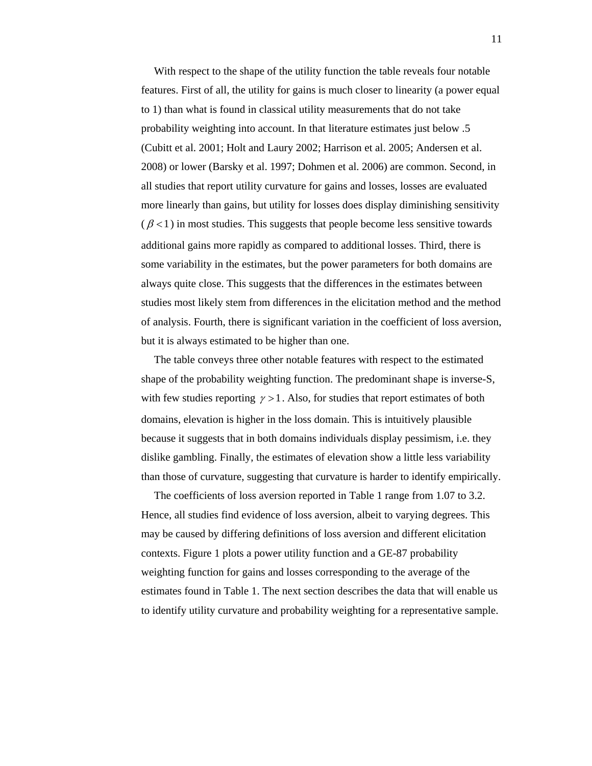With respect to the shape of the utility function the table reveals four notable features. First of all, the utility for gains is much closer to linearity (a power equal to 1) than what is found in classical utility measurements that do not take probability weighting into account. In that literature estimates just below .5 (Cubitt et al. 2001; Holt and Laury 2002; Harrison et al. 2005; Andersen et al. 2008) or lower (Barsky et al. 1997; Dohmen et al. 2006) are common. Second, in all studies that report utility curvature for gains and losses, losses are evaluated more linearly than gains, but utility for losses does display diminishing sensitivity  $(\beta < 1)$  in most studies. This suggests that people become less sensitive towards additional gains more rapidly as compared to additional losses. Third, there is some variability in the estimates, but the power parameters for both domains are always quite close. This suggests that the differences in the estimates between studies most likely stem from differences in the elicitation method and the method of analysis. Fourth, there is significant variation in the coefficient of loss aversion, but it is always estimated to be higher than one.

The table conveys three other notable features with respect to the estimated shape of the probability weighting function. The predominant shape is inverse-S, with few studies reporting  $\gamma > 1$ . Also, for studies that report estimates of both domains, elevation is higher in the loss domain. This is intuitively plausible because it suggests that in both domains individuals display pessimism, i.e. they dislike gambling. Finally, the estimates of elevation show a little less variability than those of curvature, suggesting that curvature is harder to identify empirically.

The coefficients of loss aversion reported in Table 1 range from 1.07 to 3.2. Hence, all studies find evidence of loss aversion, albeit to varying degrees. This may be caused by differing definitions of loss aversion and different elicitation contexts. Figure 1 plots a power utility function and a GE-87 probability weighting function for gains and losses corresponding to the average of the estimates found in Table 1. The next section describes the data that will enable us to identify utility curvature and probability weighting for a representative sample.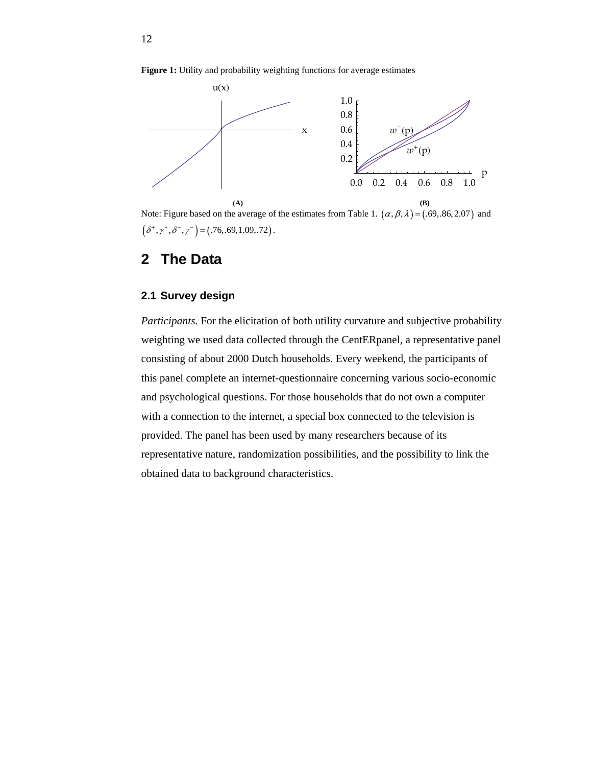Figure 1: Utility and probability weighting functions for average estimates



Note: Figure based on the average of the estimates from Table 1.  $(\alpha, \beta, \lambda) = (.69, .86, 2.07)$  and  $(\delta^+, \gamma^+, \delta^-, \gamma^-)$  = (.76,.69,1.09,.72).

## **2 The Data**

#### **2.1 Survey design**

*Participants.* For the elicitation of both utility curvature and subjective probability weighting we used data collected through the CentERpanel, a representative panel consisting of about 2000 Dutch households. Every weekend, the participants of this panel complete an internet-questionnaire concerning various socio-economic and psychological questions. For those households that do not own a computer with a connection to the internet, a special box connected to the television is provided. The panel has been used by many researchers because of its representative nature, randomization possibilities, and the possibility to link the obtained data to background characteristics.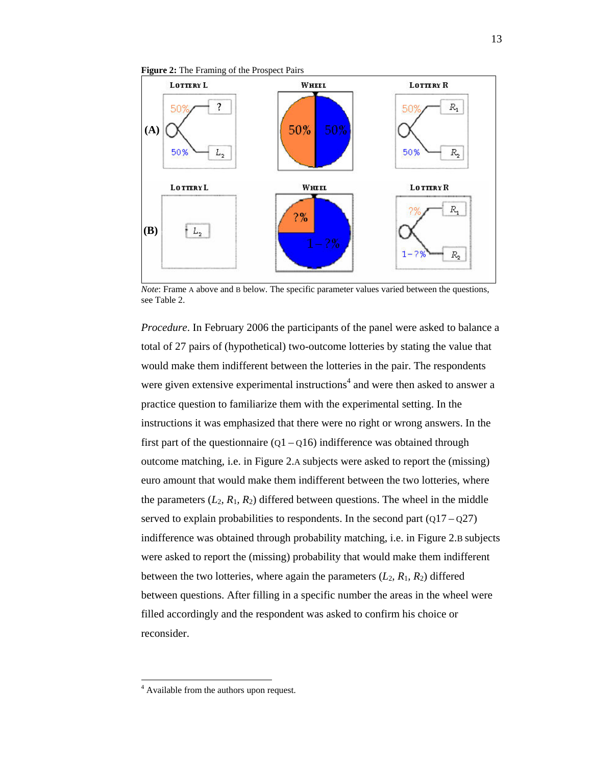



*Note*: Frame A above and B below. The specific parameter values varied between the questions, see Table 2.

*Procedure*. In February 2006 the participants of the panel were asked to balance a total of 27 pairs of (hypothetical) two-outcome lotteries by stating the value that would make them indifferent between the lotteries in the pair. The respondents were given extensive experimental instructions<sup>4</sup> and were then asked to answer a practice question to familiarize them with the experimental setting. In the instructions it was emphasized that there were no right or wrong answers. In the first part of the questionnaire  $(Q1 - Q16)$  indifference was obtained through outcome matching, i.e. in Figure 2.A subjects were asked to report the (missing) euro amount that would make them indifferent between the two lotteries, where the parameters  $(L_2, R_1, R_2)$  differed between questions. The wheel in the middle served to explain probabilities to respondents. In the second part  $(Q17 - Q27)$ indifference was obtained through probability matching, i.e. in Figure 2.B subjects were asked to report the (missing) probability that would make them indifferent between the two lotteries, where again the parameters  $(L_2, R_1, R_2)$  differed between questions. After filling in a specific number the areas in the wheel were filled accordingly and the respondent was asked to confirm his choice or reconsider.

 $\overline{a}$ 

<sup>&</sup>lt;sup>4</sup> Available from the authors upon request.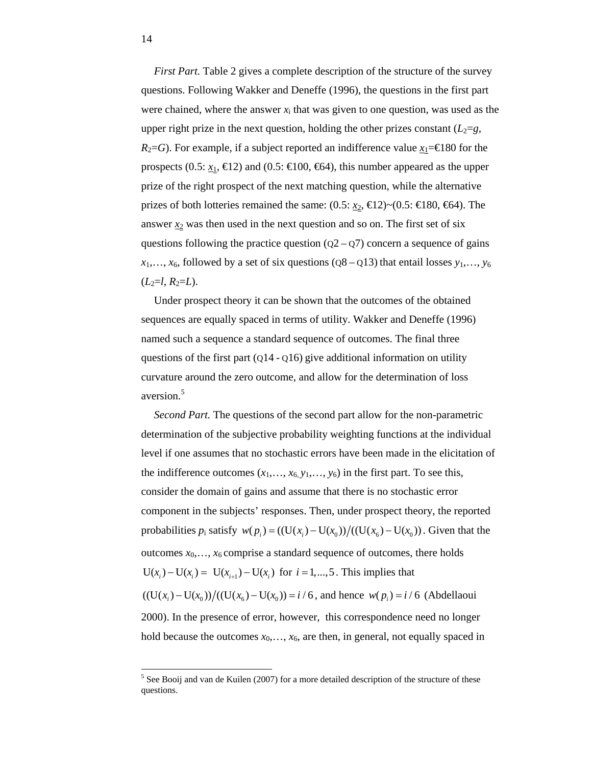*First Part.* Table 2 gives a complete description of the structure of the survey questions. Following Wakker and Deneffe (1996), the questions in the first part were chained, where the answer  $x_i$  that was given to one question, was used as the upper right prize in the next question, holding the other prizes constant  $(L_2 = g,$ *R*<sub>2</sub>=*G*). For example, if a subject reported an indifference value  $x_1$ = €180 for the prospects (0.5:  $\chi$ <sub>1</sub>, €12) and (0.5: €100, €64), this number appeared as the upper prize of the right prospect of the next matching question, while the alternative prizes of both lotteries remained the same:  $(0.5: \underline{x_2}, \triangleleft 2)$  ~ $(0.5: \triangleleft 80, \triangleleft 4)$ . The answer  $x_2$  was then used in the next question and so on. The first set of six questions following the practice question  $(Q2 - Q7)$  concern a sequence of gains  $x_1, \ldots, x_6$ , followed by a set of six questions ( $Q8 - Q13$ ) that entail losses  $y_1, \ldots, y_6$  $(L_2=1, R_2=L)$ .

Under prospect theory it can be shown that the outcomes of the obtained sequences are equally spaced in terms of utility. Wakker and Deneffe (1996) named such a sequence a standard sequence of outcomes. The final three questions of the first part  $(Q14 - Q16)$  give additional information on utility curvature around the zero outcome, and allow for the determination of loss aversion.<sup>5</sup>

*Second Part.* The questions of the second part allow for the non-parametric determination of the subjective probability weighting functions at the individual level if one assumes that no stochastic errors have been made in the elicitation of the indifference outcomes  $(x_1, \ldots, x_6, y_1, \ldots, y_6)$  in the first part. To see this, consider the domain of gains and assume that there is no stochastic error component in the subjects' responses. Then, under prospect theory, the reported probabilities  $p_i$  satisfy  $w(p_i) = ((U(x_i) - U(x_0)) / ((U(x_6) - U(x_0)))$ . Given that the outcomes  $x_0, \ldots, x_6$  comprise a standard sequence of outcomes, there holds  $U(x_i) - U(x_i) = U(x_{i+1}) - U(x_i)$  for  $i = 1, ..., 5$ . This implies that  $((U(x_i) - U(x_0)) / ((U(x_6) - U(x_0)) = i / 6$ , and hence  $w(p_i) = i / 6$  (Abdellaoui 2000). In the presence of error, however, this correspondence need no longer hold because the outcomes  $x_0, \ldots, x_6$ , are then, in general, not equally spaced in

 $\overline{\phantom{a}}$ 

<sup>&</sup>lt;sup>5</sup> See Booij and van de Kuilen (2007) for a more detailed description of the structure of these questions.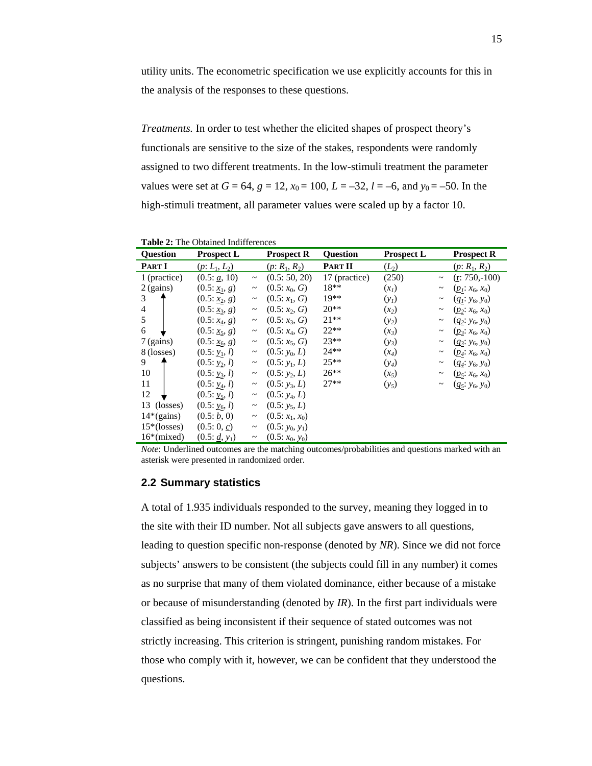utility units. The econometric specification we use explicitly accounts for this in the analysis of the responses to these questions.

*Treatments.* In order to test whether the elicited shapes of prospect theory's functionals are sensitive to the size of the stakes, respondents were randomly assigned to two different treatments. In the low-stimuli treatment the parameter values were set at  $G = 64$ ,  $g = 12$ ,  $x_0 = 100$ ,  $L = -32$ ,  $l = -6$ , and  $y_0 = -50$ . In the high-stimuli treatment, all parameter values were scaled up by a factor 10.

**Table 2:** The Obtained Indifferences

| <b>Question</b>     | <b>Prospect L</b>           |             | <b>Prospect R</b>   | <b>Ouestion</b> | <b>Prospect L</b> |             | <b>Prospect R</b>             |
|---------------------|-----------------------------|-------------|---------------------|-----------------|-------------------|-------------|-------------------------------|
| PART I              | $(p: L_1, L_2)$             |             | $(p: R_1, R_2)$     | PART II         | $(L_2)$           |             | $(p: R_1, R_2)$               |
| 1 (practice)        | $(0.5: \underline{a}, 10)$  | $\thicksim$ | (0.5: 50, 20)       | 17 (practice)   | (250)             | $\thicksim$ | $(r: 750,-100)$               |
| $2$ (gains)         | $(0.5: \underline{x}_1, g)$ | $\thicksim$ | $(0.5: x_0, G)$     | 18**            | $(x_I)$           | $\tilde{}$  | $(p_1; x_6, x_0)$             |
| 3                   | $(0.5: \underline{x_2}, g)$ | $\thicksim$ | $(0.5: x_1, G)$     | $19**$          | (y <sub>I</sub> ) | $\thicksim$ | $(q_1; y_6, y_0)$             |
| $\overline{4}$      | $(0.5: \underline{x}_3, g)$ | $\thicksim$ | $(0.5: x_2, G)$     | $20**$          | $(x_2)$           | $\thicksim$ | $(\underline{p}_2; x_6, x_0)$ |
| 5                   | $(0.5: \underline{x}_4, g)$ | $\thicksim$ | $(0.5: x_3, G)$     | $21**$          | $(y_2)$           | $\thicksim$ | $(q_2; y_6, y_0)$             |
| 6                   | $(0.5: \underline{x_5}, g)$ | $\thicksim$ | $(0.5: x_4, G)$     | $22**$          | $(x_3)$           | $\thicksim$ | $(\underline{p}_3; x_6, x_0)$ |
| 7 (gains)           | $(0.5: \underline{x_6}, g)$ | $\thicksim$ | $(0.5: x_5, G)$     | $23**$          | $(y_3)$           | $\thicksim$ | $(q_3; y_6, y_0)$             |
| 8 (losses)          | $(0.5: \underline{y}_1, l)$ | $\thicksim$ | $(0.5: y_0, L)$     | $24**$          | $(x_4)$           | $\thicksim$ | $(\underline{p_4}; x_6, x_0)$ |
| 9                   | $(0.5: \underline{y}_2, l)$ | $\thicksim$ | $(0.5: y_1, L)$     | $25**$          | $(y_4)$           | $\thicksim$ | $(q_4; y_6, y_0)$             |
| 10                  | $(0.5: \underline{y}_3, l)$ | $\thicksim$ | $(0.5: y_2, L)$     | $26**$          | $(x_5)$           | $\thicksim$ | $(\underline{p}_5; x_6, x_0)$ |
| 11                  | $(0.5: \underline{y_4}, l)$ | $\thicksim$ | $(0.5: y_3, L)$     | $27**$          | $(y_5)$           | $\thicksim$ | $(q_5: y_6, y_0)$             |
| 12                  | $(0.5: \underline{y_5}, l)$ | $\thicksim$ | $(0.5: y_4, L)$     |                 |                   |             |                               |
| 13 (losses)         | $(0.5: \underline{y_6}, l)$ | $\thicksim$ | $(0.5: y_5, L)$     |                 |                   |             |                               |
| $14*(\text{gains})$ | $(0.5: \underline{b}, 0)$   | $\thicksim$ | $(0.5: x_1, x_0)$   |                 |                   |             |                               |
| $15*(losses)$       | (0.5: 0, c)                 | $\thicksim$ | $(0.5: y_0, y_1)$   |                 |                   |             |                               |
| $16*(mixed)$        | $(0.5: \underline{d}, y_1)$ |             | ~ $(0.5: x_0, y_0)$ |                 |                   |             |                               |

*Note*: Underlined outcomes are the matching outcomes/probabilities and questions marked with an asterisk were presented in randomized order.

#### **2.2 Summary statistics**

A total of 1.935 individuals responded to the survey, meaning they logged in to the site with their ID number. Not all subjects gave answers to all questions, leading to question specific non-response (denoted by *NR*). Since we did not force subjects' answers to be consistent (the subjects could fill in any number) it comes as no surprise that many of them violated dominance, either because of a mistake or because of misunderstanding (denoted by *IR*). In the first part individuals were classified as being inconsistent if their sequence of stated outcomes was not strictly increasing. This criterion is stringent, punishing random mistakes. For those who comply with it, however, we can be confident that they understood the questions.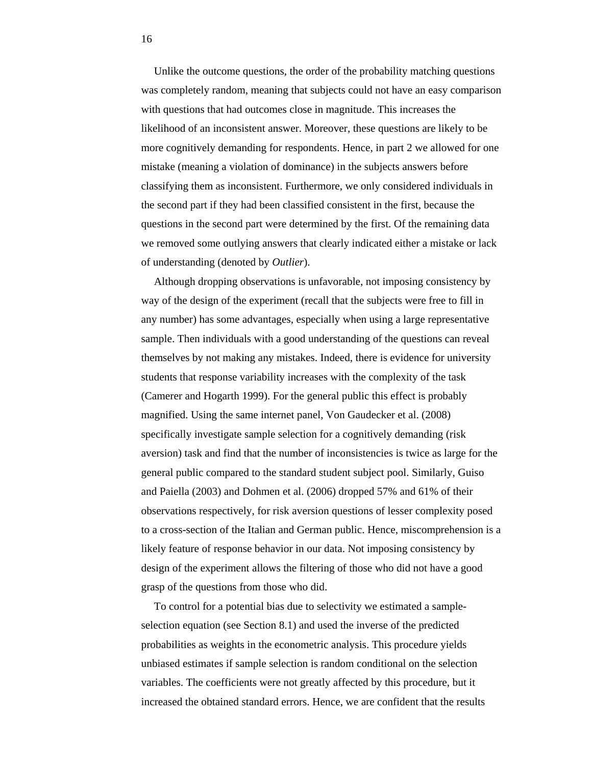Unlike the outcome questions, the order of the probability matching questions was completely random, meaning that subjects could not have an easy comparison with questions that had outcomes close in magnitude. This increases the likelihood of an inconsistent answer. Moreover, these questions are likely to be more cognitively demanding for respondents. Hence, in part 2 we allowed for one mistake (meaning a violation of dominance) in the subjects answers before classifying them as inconsistent. Furthermore, we only considered individuals in the second part if they had been classified consistent in the first, because the questions in the second part were determined by the first. Of the remaining data we removed some outlying answers that clearly indicated either a mistake or lack of understanding (denoted by *Outlier*).

Although dropping observations is unfavorable, not imposing consistency by way of the design of the experiment (recall that the subjects were free to fill in any number) has some advantages, especially when using a large representative sample. Then individuals with a good understanding of the questions can reveal themselves by not making any mistakes. Indeed, there is evidence for university students that response variability increases with the complexity of the task (Camerer and Hogarth 1999). For the general public this effect is probably magnified. Using the same internet panel, Von Gaudecker et al. (2008) specifically investigate sample selection for a cognitively demanding (risk aversion) task and find that the number of inconsistencies is twice as large for the general public compared to the standard student subject pool. Similarly, Guiso and Paiella (2003) and Dohmen et al. (2006) dropped 57% and 61% of their observations respectively, for risk aversion questions of lesser complexity posed to a cross-section of the Italian and German public. Hence, miscomprehension is a likely feature of response behavior in our data. Not imposing consistency by design of the experiment allows the filtering of those who did not have a good grasp of the questions from those who did.

To control for a potential bias due to selectivity we estimated a sampleselection equation (see Section 8.1) and used the inverse of the predicted probabilities as weights in the econometric analysis. This procedure yields unbiased estimates if sample selection is random conditional on the selection variables. The coefficients were not greatly affected by this procedure, but it increased the obtained standard errors. Hence, we are confident that the results

16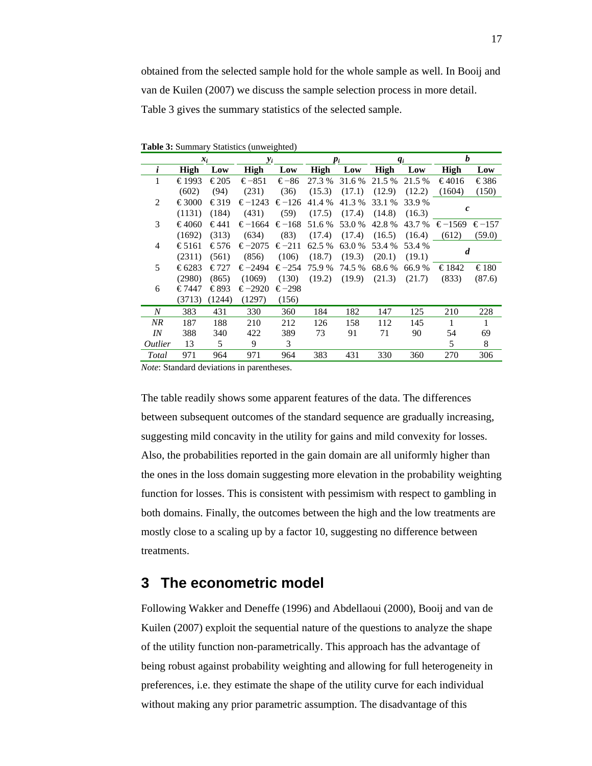obtained from the selected sample hold for the whole sample as well. In Booij and van de Kuilen (2007) we discuss the sample selection process in more detail. Table 3 gives the summary statistics of the selected sample.

**Table 3:** Summary Statistics (unweighted)

|                       | $x_i$           |        | $y_i$            |                 |        | $p_i$  |             | $q_i$  | b                |                 |
|-----------------------|-----------------|--------|------------------|-----------------|--------|--------|-------------|--------|------------------|-----------------|
|                       | <b>High</b>     | Low    | High             | Low             | High   | Low    | <b>High</b> | Low    | High             | Low             |
|                       | €1993           | €205   | $\epsilon$ -851  | $\epsilon$ -86  | 27.3 % | 31.6 % | 21.5 %      | 21.5 % | €4016            | €386            |
|                       | (602)           | (94)   | (231)            | (36)            | (15.3) | (17.1) | (12.9)      | (12.2) | (1604)           | (150)           |
| 2                     | €3000           | €319   | $\epsilon$ -1243 | $\epsilon$ -126 | 41.4 % | 41.3%  | 33.1 %      | 33.9 % |                  |                 |
|                       | (1131)          | (184)  | (431)            | (59)            | (17.5) | (17.4) | (14.8)      | (16.3) | c                |                 |
| 3                     | €4060           | €441   | €–1664           | $\epsilon$ -168 | 51.6%  | 53.0 % | 42.8%       | 43.7 % | $\epsilon$ -1569 | $\epsilon$ -157 |
|                       | (1692)          | (313)  | (634)            | (83)            | (17.4) | (17.4) | (16.5)      | (16.4) | (612)            | (59.0)          |
| $\overline{4}$        | $\epsilon$ 5161 | €576   | $\epsilon$ -2075 | $\epsilon$ -211 | 62.5 % | 63.0 % | 53.4 %      | 53.4 % |                  |                 |
|                       | (2311)          | (561)  | (856)            | (106)           | (18.7) | (19.3) | (20.1)      | (19.1) | d                |                 |
| 5                     | €6283           | €727   | €–2494           | $\epsilon$ -254 | 75.9 % | 74.5 % | 68.6 %      | 66.9%  | €1842            | €180            |
|                       | (2980)          | (865)  | (1069)           | (130)           | (19.2) | (19.9) | (21.3)      | (21.7) | (833)            | (87.6)          |
| 6                     | €7447           | €893   | $\epsilon$ -2920 | $\epsilon$ -298 |        |        |             |        |                  |                 |
|                       | (3713)          | (1244) | (1297)           | (156)           |        |        |             |        |                  |                 |
| N                     | 383             | 431    | 330              | 360             | 184    | 182    | 147         | 125    | 210              | 228             |
| NR                    | 187             | 188    | 210              | 212             | 126    | 158    | 112         | 145    | 1                | 1               |
| IN                    | 388             | 340    | 422              | 389             | 73     | 91     | 71          | 90     | 54               | 69              |
| <i><u>Outlier</u></i> | 13              | 5      | 9                | 3               |        |        |             |        | 5                | 8               |
| Total                 | 971             | 964    | 971              | 964             | 383    | 431    | 330         | 360    | 270              | 306             |

*Note*: Standard deviations in parentheses.

The table readily shows some apparent features of the data. The differences between subsequent outcomes of the standard sequence are gradually increasing, suggesting mild concavity in the utility for gains and mild convexity for losses. Also, the probabilities reported in the gain domain are all uniformly higher than the ones in the loss domain suggesting more elevation in the probability weighting function for losses. This is consistent with pessimism with respect to gambling in both domains. Finally, the outcomes between the high and the low treatments are mostly close to a scaling up by a factor 10, suggesting no difference between treatments.

### **3 The econometric model**

Following Wakker and Deneffe (1996) and Abdellaoui (2000), Booij and van de Kuilen (2007) exploit the sequential nature of the questions to analyze the shape of the utility function non-parametrically. This approach has the advantage of being robust against probability weighting and allowing for full heterogeneity in preferences, i.e. they estimate the shape of the utility curve for each individual without making any prior parametric assumption. The disadvantage of this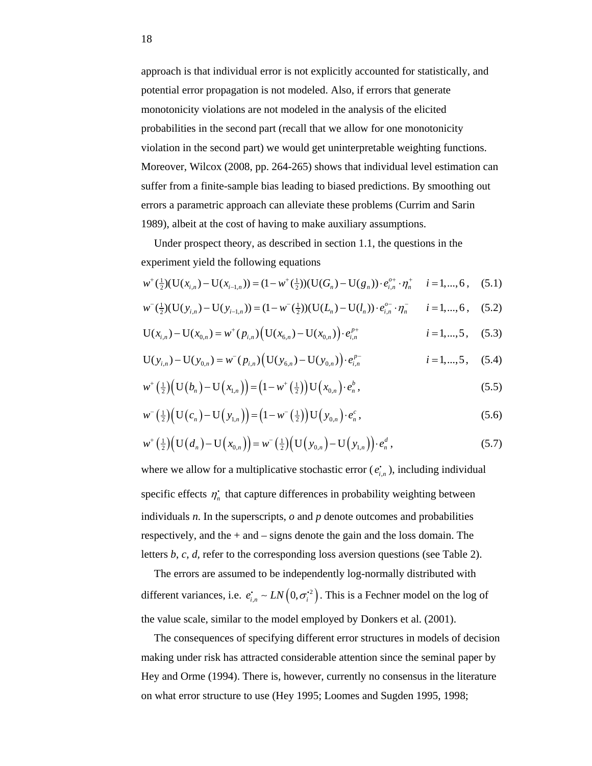approach is that individual error is not explicitly accounted for statistically, and potential error propagation is not modeled. Also, if errors that generate monotonicity violations are not modeled in the analysis of the elicited probabilities in the second part (recall that we allow for one monotonicity violation in the second part) we would get uninterpretable weighting functions. Moreover, Wilcox (2008, pp. 264-265) shows that individual level estimation can suffer from a finite-sample bias leading to biased predictions. By smoothing out errors a parametric approach can alleviate these problems (Currim and Sarin 1989), albeit at the cost of having to make auxiliary assumptions.

Under prospect theory, as described in section 1.1, the questions in the experiment yield the following equations

$$
w^{+}(\frac{1}{2})(U(x_{i,n}) - U(x_{i-1,n})) = (1 - w^{+}(\frac{1}{2}))(U(G_n) - U(g_n)) \cdot e_{i,n}^{o+} \cdot \eta_n^{+} \quad i = 1,...,6, \quad (5.1)
$$

$$
w^{-}\left(\frac{1}{2}\right)(U(y_{i,n}) - U(y_{i-1,n})) = (1 - w^{-}\left(\frac{1}{2}\right))(U(L_n) - U(l_n)) \cdot e_{i,n}^{o^{-}} \cdot \eta_n^{-} \qquad i = 1,...,6\,,\tag{5.2}
$$

$$
U(x_{i,n}) - U(x_{0,n}) = w^+(p_{i,n}) \Big( U(x_{6,n}) - U(x_{0,n}) \Big) \cdot e_{i,n}^{p+} \qquad i = 1,...,5, \quad (5.3)
$$

$$
U(y_{i,n}) - U(y_{0,n}) = w^-(p_{i,n}) \Big( U(y_{6,n}) - U(y_{0,n}) \Big) \cdot e_{i,n}^{p-1} \qquad i = 1,...,5, \quad (5.4)
$$

$$
w^{+}\left(\frac{1}{2}\right)\left(U(b_{n})-U(x_{1,n})\right)=\left(1-w^{+}\left(\frac{1}{2}\right)\right)U(x_{0,n})\cdot e_{n}^{b},\qquad(5.5)
$$

$$
w^{-}\left(\frac{1}{2}\right)\left(U(c_{n})-U(y_{1,n})\right)=\left(1-w^{-}\left(\frac{1}{2}\right)\right)U(y_{0,n})\cdot e_{n}^{c},\tag{5.6}
$$

$$
w^{+}(\frac{1}{2})(U(d_{n})-U(x_{0,n}))=w^{-}(\frac{1}{2})(U(y_{0,n})-U(y_{1,n}))\cdot e_{n}^{d}, \qquad (5.7)
$$

where we allow for a multiplicative stochastic error  $(e_{i,n}^{\dagger})$ , including individual specific effects  $\eta_n^*$  that capture differences in probability weighting between individuals  $n$ . In the superscripts,  $o$  and  $p$  denote outcomes and probabilities respectively, and the + and – signs denote the gain and the loss domain. The letters *b*, *c*, *d,* refer to the corresponding loss aversion questions (see Table 2).

The errors are assumed to be independently log-normally distributed with different variances, i.e.  $e_{i,n}^{\dagger} \sim LN(0, \sigma_i^{\dagger 2})$ . This is a Fechner model on the log of the value scale, similar to the model employed by Donkers et al. (2001).

The consequences of specifying different error structures in models of decision making under risk has attracted considerable attention since the seminal paper by Hey and Orme (1994). There is, however, currently no consensus in the literature on what error structure to use (Hey 1995; Loomes and Sugden 1995, 1998;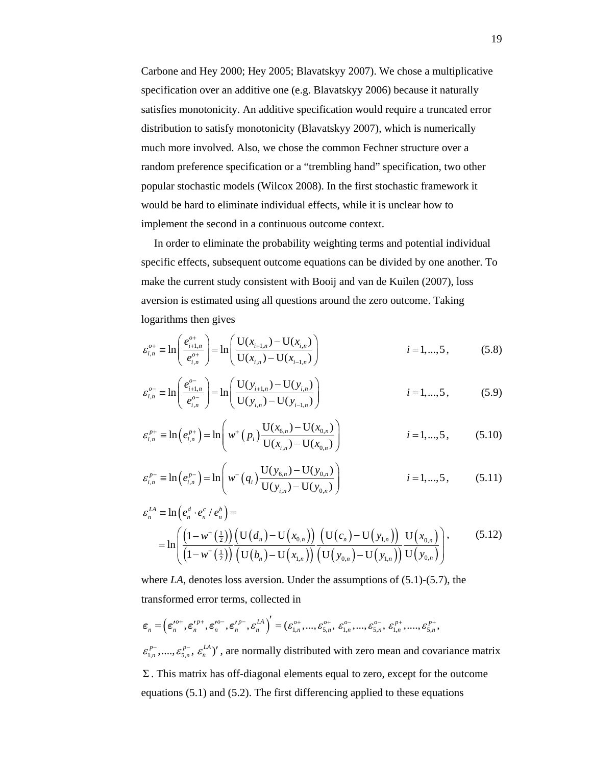Carbone and Hey 2000; Hey 2005; Blavatskyy 2007). We chose a multiplicative specification over an additive one (e.g. Blavatskyy 2006) because it naturally satisfies monotonicity. An additive specification would require a truncated error distribution to satisfy monotonicity (Blavatskyy 2007), which is numerically much more involved. Also, we chose the common Fechner structure over a random preference specification or a "trembling hand" specification, two other popular stochastic models (Wilcox 2008). In the first stochastic framework it would be hard to eliminate individual effects, while it is unclear how to implement the second in a continuous outcome context.

In order to eliminate the probability weighting terms and potential individual specific effects, subsequent outcome equations can be divided by one another. To make the current study consistent with Booij and van de Kuilen (2007), loss aversion is estimated using all questions around the zero outcome. Taking logarithms then gives

$$
\varepsilon_{i,n}^{o+} \equiv \ln\left(\frac{e_{i+1,n}^{o+}}{e_{i,n}^{o+}}\right) = \ln\left(\frac{U(x_{i+1,n}) - U(x_{i,n})}{U(x_{i,n}) - U(x_{i-1,n})}\right) \qquad i = 1,...,5, \qquad (5.8)
$$

$$
\varepsilon_{i,n}^{o-} \equiv \ln\left(\frac{e_{i+1,n}^{o-}}{e_{i,n}^{o-}}\right) = \ln\left(\frac{U(y_{i+1,n}) - U(y_{i,n})}{U(y_{i,n}) - U(y_{i-1,n})}\right) \qquad i = 1,...,5, \qquad (5.9)
$$

$$
\varepsilon_{i,n}^{p+} \equiv \ln\left(e_{i,n}^{p+}\right) = \ln\left(w^+\left(p_i\right)\frac{U(x_{6,n}) - U(x_{0,n})}{U(x_{i,n}) - U(x_{0,n})}\right) \qquad i = 1,...,5, \qquad (5.10)
$$

$$
\varepsilon_{i,n}^{p-} \equiv \ln\left(e_{i,n}^{p-}\right) = \ln\left(w\left(q_i\right) \frac{U(y_{6,n}) - U(y_{0,n})}{U(y_{i,n}) - U(y_{0,n})}\right) \qquad i = 1,...,5, \qquad (5.11)
$$

$$
\varepsilon_n^{LA} = \ln \left( e_n^d \cdot e_n^c / e_n^b \right) =
$$
\n
$$
= \ln \left( \frac{\left( 1 - w^+ \left( \frac{1}{2} \right) \right) \left( U \left( d_n \right) - U \left( x_{0,n} \right) \right)}{\left( 1 - w^- \left( \frac{1}{2} \right) \right) \left( U \left( b_n \right) - U \left( x_{1,n} \right) \right)} \left( U \left( c_n \right) - U \left( y_{1,n} \right) \right)} \frac{U \left( x_{0,n} \right)}{U \left( y_{0,n} \right)} \right), \tag{5.12}
$$

where  $LA$ , denotes loss aversion. Under the assumptions of  $(5.1)$ - $(5.7)$ , the transformed error terms, collected in

$$
\varepsilon_n = \left(\varepsilon_n^{\prime o^+}, \varepsilon_n^{\prime p^+}, \varepsilon_n^{\prime o^-}, \varepsilon_n^{\prime p^-}, \varepsilon_n^{\prime A}\right)' = \left(\varepsilon_{1,n}^{o^+}, \dots, \varepsilon_{5,n}^{o^+}, \varepsilon_{1,n}^{o^-}, \dots, \varepsilon_{5,n}^{o^-}, \varepsilon_{1,n}^{\prime p^+}, \dots, \varepsilon_{5,n}^{\prime p^+},
$$
\n
$$
\varepsilon_{1,n}^{\prime p^-}, \dots, \varepsilon_{5,n}^{\prime p^-}, \varepsilon_n^{\prime A}\right)',
$$
 are normally distributed with zero mean and covariance matrix  $\Sigma$ . This matrix has off-diagonal elements equal to zero, except for the outcome equations (5.1) and (5.2). The first differencing applied to these equations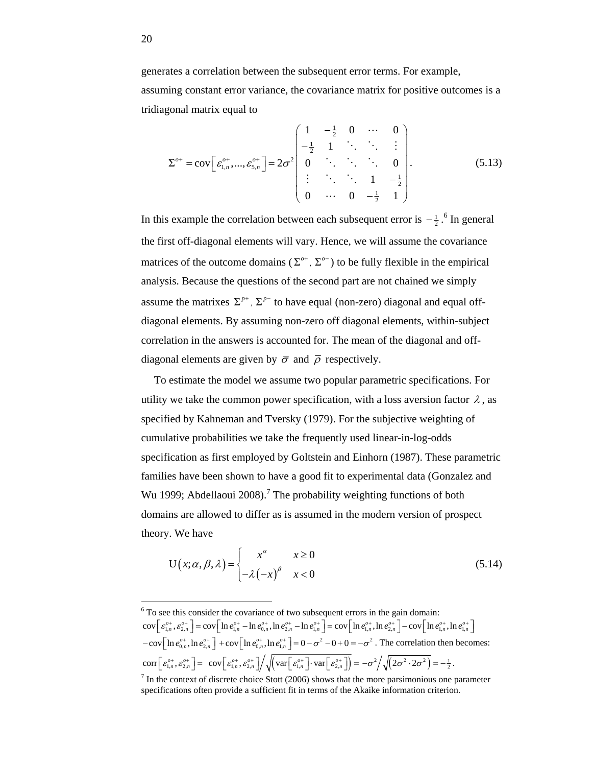generates a correlation between the subsequent error terms. For example, assuming constant error variance, the covariance matrix for positive outcomes is a tridiagonal matrix equal to

$$
\Sigma^{o+} = \text{cov}\left[\varepsilon_{1,n}^{o+},...,\varepsilon_{5,n}^{o+}\right] = 2\sigma^2 \begin{pmatrix} 1 & -\frac{1}{2} & 0 & \cdots & 0 \\ -\frac{1}{2} & 1 & \ddots & \ddots & \vdots \\ 0 & \ddots & \ddots & \ddots & 0 \\ \vdots & \ddots & \ddots & 1 & -\frac{1}{2} \\ 0 & \cdots & 0 & -\frac{1}{2} & 1 \end{pmatrix}.
$$
 (5.13)

In this example the correlation between each subsequent error is  $-\frac{1}{2}$ .<sup>6</sup> In general the first off-diagonal elements will vary. Hence, we will assume the covariance matrices of the outcome domains ( $\Sigma^{o+}$ ,  $\Sigma^{o-}$ ) to be fully flexible in the empirical analysis. Because the questions of the second part are not chained we simply assume the matrixes  $\Sigma^{p+}$ ,  $\Sigma^{p-}$  to have equal (non-zero) diagonal and equal offdiagonal elements. By assuming non-zero off diagonal elements, within-subject correlation in the answers is accounted for. The mean of the diagonal and offdiagonal elements are given by  $\bar{\sigma}$  and  $\bar{\rho}$  respectively.

To estimate the model we assume two popular parametric specifications. For utility we take the common power specification, with a loss aversion factor  $\lambda$ , as specified by Kahneman and Tversky (1979). For the subjective weighting of cumulative probabilities we take the frequently used linear-in-log-odds specification as first employed by Goltstein and Einhorn (1987). These parametric families have been shown to have a good fit to experimental data (Gonzalez and Wu 1999; Abdellaoui  $2008$ ).<sup>7</sup> The probability weighting functions of both domains are allowed to differ as is assumed in the modern version of prospect theory. We have

$$
U(x; \alpha, \beta, \lambda) = \begin{cases} x^{\alpha} & x \ge 0 \\ -\lambda (-x)^{\beta} & x < 0 \end{cases}
$$
 (5.14)

 6 To see this consider the covariance of two subsequent errors in the gain domain:  $\left[ \varepsilon_{1,n}^{o+}, \varepsilon_{2,n}^{o+} \right] = \text{cov} \left[ \ln e_{1,n}^{o+} - \ln e_{0,n}^{o+}, \ln e_{2,n}^{o+} - \ln e_{1,n}^{o+} \right] = \text{cov} \left[ \ln e_{1,n}^{o+}, \ln e_{2,n}^{o+} \right] - \text{cov} \left[ \ln e_{1,n}^{o+}, \ln e_{1,n}^{o+} \right]$  $-\text{cov}\left[\ln e_{0,n}^{o^+}, \ln e_{2,n}^{o^+}\right] + \text{cov}\left[\ln e_{0,n}^{o^+}, \ln e_{1,n}^{o^+}\right] = 0 - \sigma^2 - 0 + 0 = -\sigma^2$ . The correlation then becomes:  $\text{corr}\left[\varepsilon_{1,n}^{o+}, \varepsilon_{2,n}^{o+}\right] = \text{cov}\left[\varepsilon_{1,n}^{o+}, \varepsilon_{2,n}^{o+}\right] / \sqrt{\left(\text{var}\left[\varepsilon_{1,n}^{o+}\right] \cdot \text{var}\left[\varepsilon_{2,n}^{o+}\right]\right)} = -\sigma^2 / \sqrt{\left(2\sigma^2 \cdot 2\sigma^2\right)} = -\frac{1}{2}.$  $<sup>7</sup>$  In the context of discrete choice Stott (2006) shows that the more parsimonious one parameter</sup>

specifications often provide a sufficient fit in terms of the Akaike information criterion.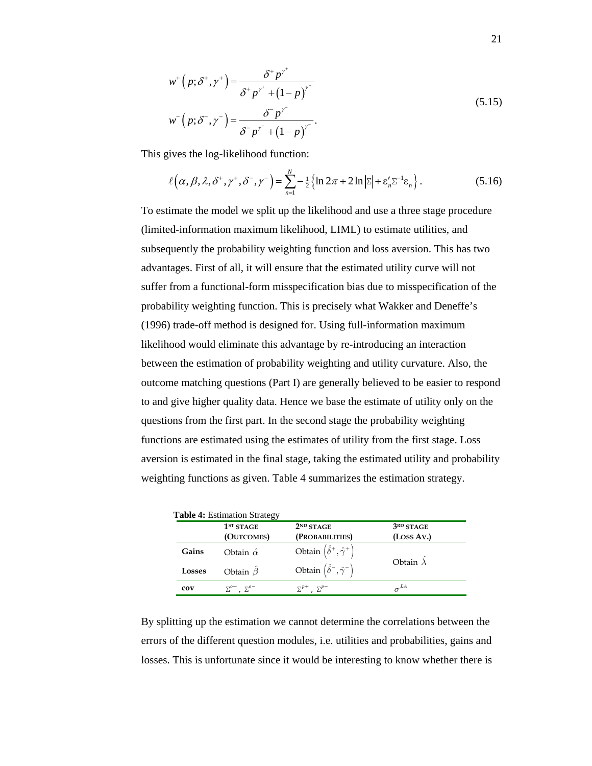$$
w^{+}(p; \delta^{+}, \gamma^{+}) = \frac{\delta^{+} p^{\gamma^{+}}}{\delta^{+} p^{\gamma^{+}} + (1-p)^{\gamma^{+}}}
$$
  

$$
w^{-}(p; \delta^{-}, \gamma^{-}) = \frac{\delta^{-} p^{\gamma^{-}}}{\delta^{-} p^{\gamma^{-}} + (1-p)^{\gamma^{-}}}.
$$
 (5.15)

This gives the log-likelihood function:

$$
\ell(\alpha, \beta, \lambda, \delta^+, \gamma^+, \delta^-, \gamma^-) = \sum_{n=1}^N -\frac{1}{2} \{ \ln 2\pi + 2 \ln |\Sigma| + \varepsilon_n' \Sigma^{-1} \varepsilon_n \}.
$$
 (5.16)

To estimate the model we split up the likelihood and use a three stage procedure (limited-information maximum likelihood, LIML) to estimate utilities, and subsequently the probability weighting function and loss aversion. This has two advantages. First of all, it will ensure that the estimated utility curve will not suffer from a functional-form misspecification bias due to misspecification of the probability weighting function. This is precisely what Wakker and Deneffe's (1996) trade-off method is designed for. Using full-information maximum likelihood would eliminate this advantage by re-introducing an interaction between the estimation of probability weighting and utility curvature. Also, the outcome matching questions (Part I) are generally believed to be easier to respond to and give higher quality data. Hence we base the estimate of utility only on the questions from the first part. In the second stage the probability weighting functions are estimated using the estimates of utility from the first stage. Loss aversion is estimated in the final stage, taking the estimated utility and probability weighting functions as given. Table 4 summarizes the estimation strategy.

|               | <b>Table 4: Estimation Strategy</b> |                                           |                                |
|---------------|-------------------------------------|-------------------------------------------|--------------------------------|
|               | 1 <sup>ST</sup> STAGE<br>(OUTCOMES) | 2 <sup>ND</sup> STAGE<br>(PROBABILITIES)  | <b>3RD STAGE</b><br>(Loss Av.) |
| Gains         | Obtain $\hat{\alpha}$               | Obtain $(\hat{\delta}^+, \hat{\gamma}^+)$ |                                |
| <b>Losses</b> | Obtain $\beta$                      | Obtain $(\hat{\delta}^-, \hat{\gamma}^-)$ | Obtain $\hat{\lambda}$         |
| cov           | $\Sigma^{o+}$ . $\Sigma^{o-}$       | $\Sigma^{p+}$ . $\Sigma^{p-}$             | $\sigma^{LA}$                  |

By splitting up the estimation we cannot determine the correlations between the errors of the different question modules, i.e. utilities and probabilities, gains and losses. This is unfortunate since it would be interesting to know whether there is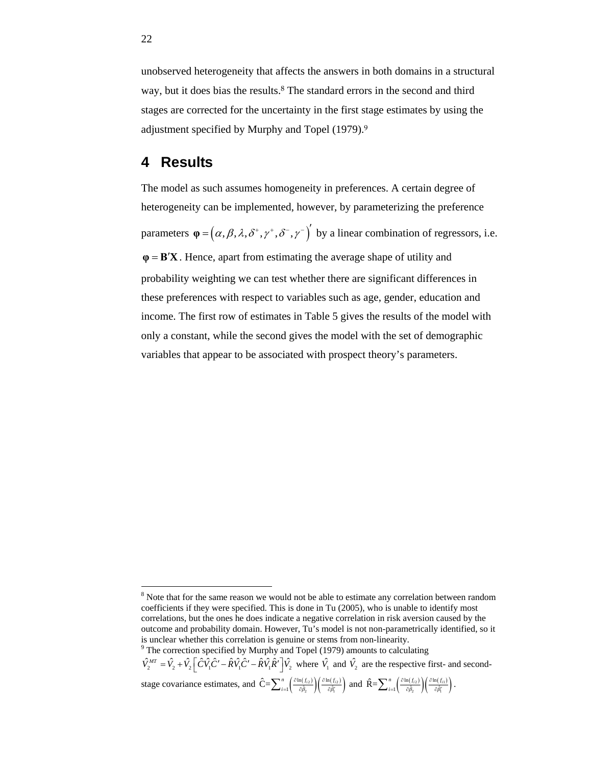unobserved heterogeneity that affects the answers in both domains in a structural way, but it does bias the results.<sup>8</sup> The standard errors in the second and third stages are corrected for the uncertainty in the first stage estimates by using the adjustment specified by Murphy and Topel (1979).<sup>9</sup>

### **4 Results**

The model as such assumes homogeneity in preferences. A certain degree of heterogeneity can be implemented, however, by parameterizing the preference parameters  $\varphi = (\alpha, \beta, \lambda, \delta^+, \gamma^+, \delta^-, \gamma^-)'$  by a linear combination of regressors, i.e.  $\varphi = B'X$ . Hence, apart from estimating the average shape of utility and probability weighting we can test whether there are significant differences in these preferences with respect to variables such as age, gender, education and income. The first row of estimates in Table 5 gives the results of the model with only a constant, while the second gives the model with the set of demographic variables that appear to be associated with prospect theory's parameters.

 $\overline{a}$ 

<sup>&</sup>lt;sup>8</sup> Note that for the same reason we would not be able to estimate any correlation between random coefficients if they were specified. This is done in Tu (2005), who is unable to identify most correlations, but the ones he does indicate a negative correlation in risk aversion caused by the outcome and probability domain. However, Tu's model is not non-parametrically identified, so it is unclear whether this correlation is genuine or stems from non-linearity. <sup>9</sup> The correction specified by Murphy and Topel (1979) amounts to calculating

 $\hat{V}_2^{MT} = \hat{V}_2 + \hat{V}_2 \left[ \hat{C} \hat{V}_1 \hat{C}' - \hat{R} \hat{V}_1 \hat{C}' - \hat{R} \hat{V}_1 \hat{R}' \right] \hat{V}_2$  where  $\hat{V}_1$  and  $\hat{V}_2$  are the respective first- and secondstage covariance estimates, and  $\hat{C} = \sum_{i=1}^{n} \left( \frac{\partial \ln(f_{i2})}{\partial \hat{\beta}_2} \right) \left( \frac{\partial \ln(f_{i2})}{\partial \hat{\beta}_1'} \right)$  $\hat{\mathrm{C}}=\sum_{i=1}^n\left(\frac{\partial\ln(f_{i2})}{\partial\hat{\beta}_2}\right)\left(\frac{\partial\ln(f_{i2})}{\partial\hat{\beta}'_1}\right)$  and  $\hat{\mathrm{R}}=\sum_{i=1}^n\left(\frac{\partial\ln(f_{i2})}{\partial\hat{\beta}_2}\right)\left(\frac{\partial\ln(f_{i1})}{\partial\hat{\beta}'_1}\right)$  $\hat{\mathbf{R}} = \sum_{i=1}^{n} \left( \frac{\partial \ln(f_{i2})}{\partial \hat{\beta}_2} \right) \left( \frac{\partial \ln(f_{i1})}{\partial \hat{\beta}'_1} \right).$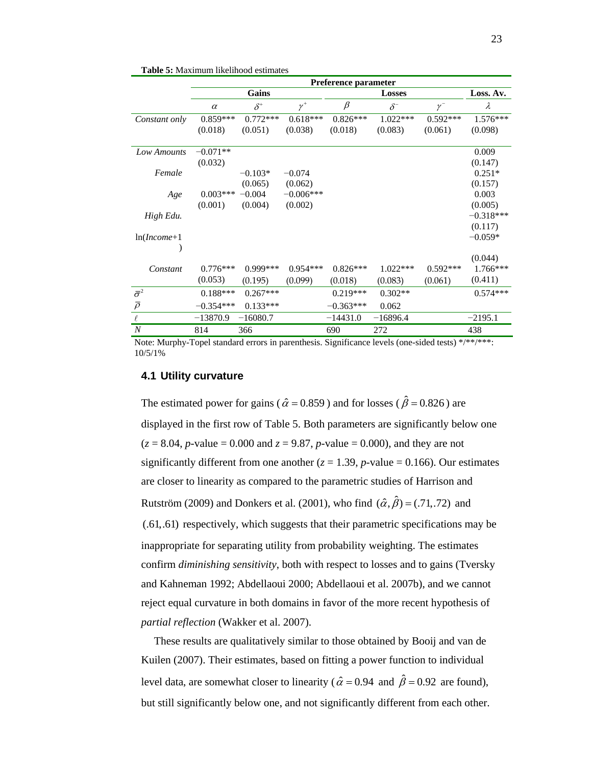|                  | Preference parameter |            |             |             |               |            |             |  |  |  |  |
|------------------|----------------------|------------|-------------|-------------|---------------|------------|-------------|--|--|--|--|
|                  |                      | Gains      |             |             | <b>Losses</b> |            | Loss. Av.   |  |  |  |  |
|                  | $\alpha$             | $\delta^*$ | $\gamma^+$  | $\beta$     | $\delta^{-}$  | $\gamma^-$ | λ           |  |  |  |  |
| Constant only    | $0.859***$           | $0.772***$ | $0.618***$  | $0.826***$  | $1.022***$    | $0.592***$ | $1.576***$  |  |  |  |  |
|                  | (0.018)              | (0.051)    | (0.038)     | (0.018)     | (0.083)       | (0.061)    | (0.098)     |  |  |  |  |
| Low Amounts      | $-0.071**$           |            |             |             |               |            | 0.009       |  |  |  |  |
|                  | (0.032)              |            |             |             |               |            | (0.147)     |  |  |  |  |
| Female           |                      | $-0.103*$  | $-0.074$    |             |               |            | $0.251*$    |  |  |  |  |
|                  |                      | (0.065)    | (0.062)     |             |               |            | (0.157)     |  |  |  |  |
| Age              | $0.003***$           | $-0.004$   | $-0.006***$ |             |               |            | 0.003       |  |  |  |  |
|                  | (0.001)              | (0.004)    | (0.002)     |             |               |            | (0.005)     |  |  |  |  |
| High Edu.        |                      |            |             |             |               |            | $-0.318***$ |  |  |  |  |
|                  |                      |            |             |             |               |            | (0.117)     |  |  |  |  |
| $ln(Income+1)$   |                      |            |             |             |               |            | $-0.059*$   |  |  |  |  |
|                  |                      |            |             |             |               |            |             |  |  |  |  |
|                  |                      |            |             |             |               |            | (0.044)     |  |  |  |  |
| Constant         | $0.776***$           | $0.999***$ | $0.954***$  | $0.826***$  | $1.022***$    | $0.592***$ | $1.766***$  |  |  |  |  |
|                  | (0.053)              | (0.195)    | (0.099)     | (0.018)     | (0.083)       | (0.061)    | (0.411)     |  |  |  |  |
| $\bar{\sigma}^2$ | $0.188***$           | $0.267***$ |             | $0.219***$  | $0.302**$     |            | $0.574***$  |  |  |  |  |
| $\bar{\rho}$     | $-0.354***$          | $0.133***$ |             | $-0.363***$ | 0.062         |            |             |  |  |  |  |
| $\ell$           | $-13870.9$           | $-16080.7$ |             | $-14431.0$  | $-16896.4$    |            | $-2195.1$   |  |  |  |  |
| $\boldsymbol{N}$ | 814                  | 366        |             | 690         | 272           |            | 438         |  |  |  |  |

**Table 5:** Maximum likelihood estimates

Note: Murphy-Topel standard errors in parenthesis. Significance levels (one-sided tests) \*/\*\*/\*\*\*: 10/5/1%

#### **4.1 Utility curvature**

The estimated power for gains ( $\hat{\alpha} = 0.859$ ) and for losses ( $\hat{\beta} = 0.826$ ) are displayed in the first row of Table 5. Both parameters are significantly below one  $(z = 8.04, p-value = 0.000$  and  $z = 9.87, p-value = 0.000$ , and they are not significantly different from one another  $(z = 1.39, p$ -value = 0.166). Our estimates are closer to linearity as compared to the parametric studies of Harrison and Rutström (2009) and Donkers et al. (2001), who find  $(\hat{\alpha}, \hat{\beta}) = (.71, .72)$  and (.61,.61) respectively, which suggests that their parametric specifications may be inappropriate for separating utility from probability weighting. The estimates confirm *diminishing sensitivity*, both with respect to losses and to gains (Tversky and Kahneman 1992; Abdellaoui 2000; Abdellaoui et al. 2007b), and we cannot reject equal curvature in both domains in favor of the more recent hypothesis of *partial reflection* (Wakker et al. 2007).

These results are qualitatively similar to those obtained by Booij and van de Kuilen (2007). Their estimates, based on fitting a power function to individual level data, are somewhat closer to linearity ( $\hat{\alpha} = 0.94$  and  $\hat{\beta} = 0.92$  are found), but still significantly below one, and not significantly different from each other.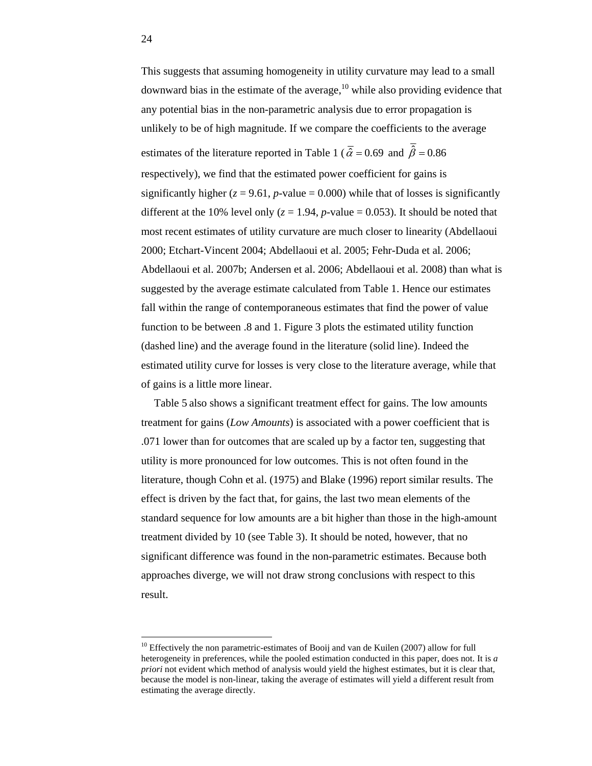This suggests that assuming homogeneity in utility curvature may lead to a small downward bias in the estimate of the average,  $^{10}$  while also providing evidence that any potential bias in the non-parametric analysis due to error propagation is unlikely to be of high magnitude. If we compare the coefficients to the average estimates of the literature reported in Table 1 ( $\overline{\hat{\alpha}} = 0.69$  and  $\hat{\beta} = 0.86$ respectively), we find that the estimated power coefficient for gains is significantly higher  $(z = 9.61, p$ -value = 0.000) while that of losses is significantly different at the 10% level only ( $z = 1.94$ ,  $p$ -value = 0.053). It should be noted that most recent estimates of utility curvature are much closer to linearity (Abdellaoui 2000; Etchart-Vincent 2004; Abdellaoui et al. 2005; Fehr-Duda et al. 2006; Abdellaoui et al. 2007b; Andersen et al. 2006; Abdellaoui et al. 2008) than what is suggested by the average estimate calculated from Table 1. Hence our estimates fall within the range of contemporaneous estimates that find the power of value function to be between .8 and 1. Figure 3 plots the estimated utility function (dashed line) and the average found in the literature (solid line). Indeed the estimated utility curve for losses is very close to the literature average, while that of gains is a little more linear.

Table 5 also shows a significant treatment effect for gains. The low amounts treatment for gains (*Low Amounts*) is associated with a power coefficient that is .071 lower than for outcomes that are scaled up by a factor ten, suggesting that utility is more pronounced for low outcomes. This is not often found in the literature, though Cohn et al. (1975) and Blake (1996) report similar results. The effect is driven by the fact that, for gains, the last two mean elements of the standard sequence for low amounts are a bit higher than those in the high-amount treatment divided by 10 (see Table 3). It should be noted, however, that no significant difference was found in the non-parametric estimates. Because both approaches diverge, we will not draw strong conclusions with respect to this result.

 $\overline{\phantom{a}}$ 

<sup>&</sup>lt;sup>10</sup> Effectively the non parametric-estimates of Booij and van de Kuilen (2007) allow for full heterogeneity in preferences, while the pooled estimation conducted in this paper, does not. It is *a priori* not evident which method of analysis would yield the highest estimates, but it is clear that, because the model is non-linear, taking the average of estimates will yield a different result from estimating the average directly.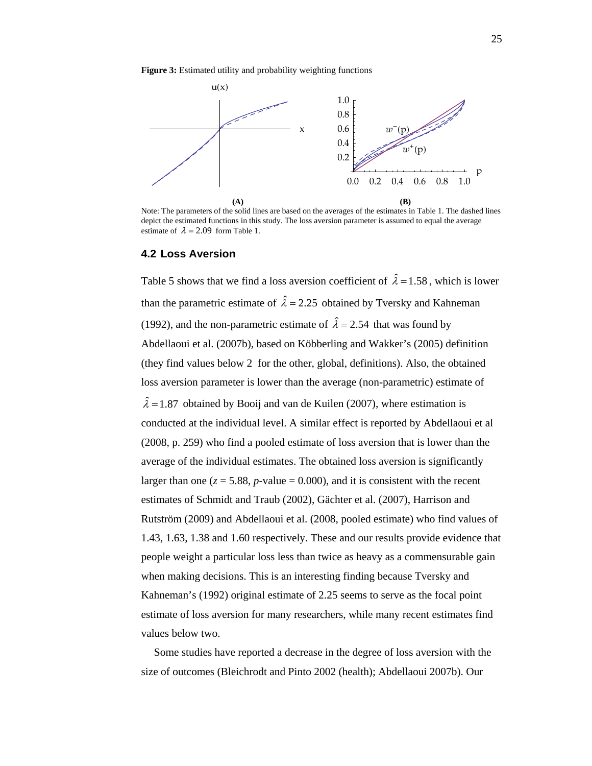**Figure 3:** Estimated utility and probability weighting functions



Note: The parameters of the solid lines are based on the averages of the estimates in Table 1. The dashed lines depict the estimated functions in this study. The loss aversion parameter is assumed to equal the average estimate of  $\lambda = 2.09$  form Table 1.

#### **4.2 Loss Aversion**

Table 5 shows that we find a loss aversion coefficient of  $\hat{\lambda} = 1.58$ , which is lower than the parametric estimate of  $\hat{\lambda} = 2.25$  obtained by Tversky and Kahneman (1992), and the non-parametric estimate of  $\hat{\lambda} = 2.54$  that was found by Abdellaoui et al. (2007b), based on Köbberling and Wakker's (2005) definition (they find values below 2 for the other, global, definitions). Also, the obtained loss aversion parameter is lower than the average (non-parametric) estimate of  $\hat{\lambda} = 1.87$  obtained by Booij and van de Kuilen (2007), where estimation is conducted at the individual level. A similar effect is reported by Abdellaoui et al (2008, p. 259) who find a pooled estimate of loss aversion that is lower than the average of the individual estimates. The obtained loss aversion is significantly larger than one ( $z = 5.88$ , *p*-value = 0.000), and it is consistent with the recent estimates of Schmidt and Traub (2002), Gächter et al. (2007), Harrison and Rutström (2009) and Abdellaoui et al. (2008, pooled estimate) who find values of 1.43, 1.63, 1.38 and 1.60 respectively. These and our results provide evidence that people weight a particular loss less than twice as heavy as a commensurable gain when making decisions. This is an interesting finding because Tversky and Kahneman's (1992) original estimate of 2.25 seems to serve as the focal point estimate of loss aversion for many researchers, while many recent estimates find values below two.

Some studies have reported a decrease in the degree of loss aversion with the size of outcomes (Bleichrodt and Pinto 2002 (health); Abdellaoui 2007b). Our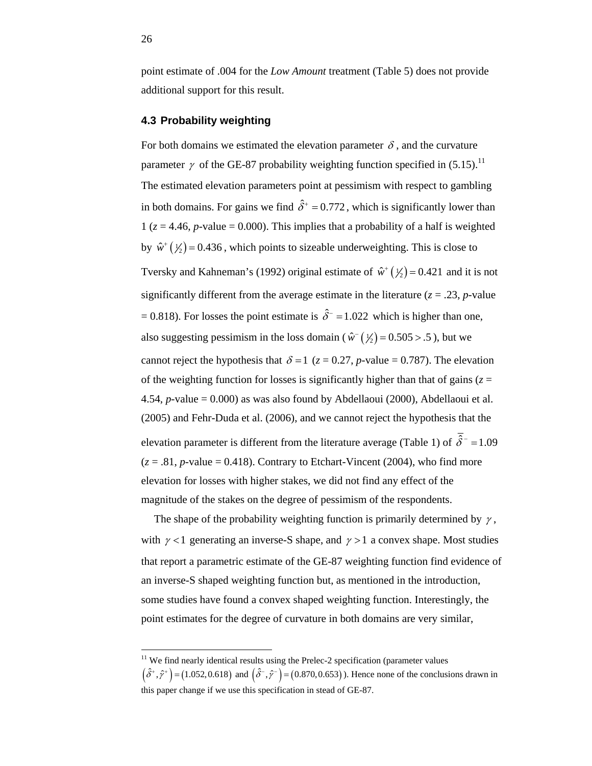point estimate of .004 for the *Low Amount* treatment (Table 5) does not provide additional support for this result.

#### **4.3 Probability weighting**

For both domains we estimated the elevation parameter  $\delta$ , and the curvature parameter  $\gamma$  of the GE-87 probability weighting function specified in (5.15).<sup>11</sup> The estimated elevation parameters point at pessimism with respect to gambling in both domains. For gains we find  $\hat{\delta}^+ = 0.772$ , which is significantly lower than  $1 (z = 4.46, p-value = 0.000)$ . This implies that a probability of a half is weighted by  $\hat{w}^+ (\frac{1}{2}) = 0.436$ , which points to sizeable underweighting. This is close to Tversky and Kahneman's (1992) original estimate of  $\hat{w}^+$  ( $\frac{1}{2}$ ) = 0.421 and it is not significantly different from the average estimate in the literature  $(z = .23, p$ -value  $= 0.818$ ). For losses the point estimate is  $\hat{\delta}^- = 1.022$  which is higher than one, also suggesting pessimism in the loss domain ( $\hat{w}$ <sup>-</sup> $(\frac{1}{2})$  = 0.505 > .5), but we cannot reject the hypothesis that  $\delta = 1$  ( $z = 0.27$ , *p*-value = 0.787). The elevation of the weighting function for losses is significantly higher than that of gains ( $z =$ 4.54, *p*-value = 0.000) as was also found by Abdellaoui (2000), Abdellaoui et al. (2005) and Fehr-Duda et al. (2006), and we cannot reject the hypothesis that the elevation parameter is different from the literature average (Table 1) of  $\overline{\hat{\delta}}$  = 1.09  $(z = .81, p$ -value = 0.418). Contrary to Etchart-Vincent (2004), who find more elevation for losses with higher stakes, we did not find any effect of the magnitude of the stakes on the degree of pessimism of the respondents.

The shape of the probability weighting function is primarily determined by  $\gamma$ , with  $\gamma$  < 1 generating an inverse-S shape, and  $\gamma$  > 1 a convex shape. Most studies that report a parametric estimate of the GE-87 weighting function find evidence of an inverse-S shaped weighting function but, as mentioned in the introduction, some studies have found a convex shaped weighting function. Interestingly, the point estimates for the degree of curvature in both domains are very similar,

 $\overline{a}$ 

 $11$  We find nearly identical results using the Prelec-2 specification (parameter values

 $(\hat{\delta}^*, \hat{\gamma}^*)$  = (1.052,0.618) and  $(\hat{\delta}^*, \hat{\gamma}^*)$  = (0.870,0.653)). Hence none of the conclusions drawn in this paper change if we use this specification in stead of GE-87.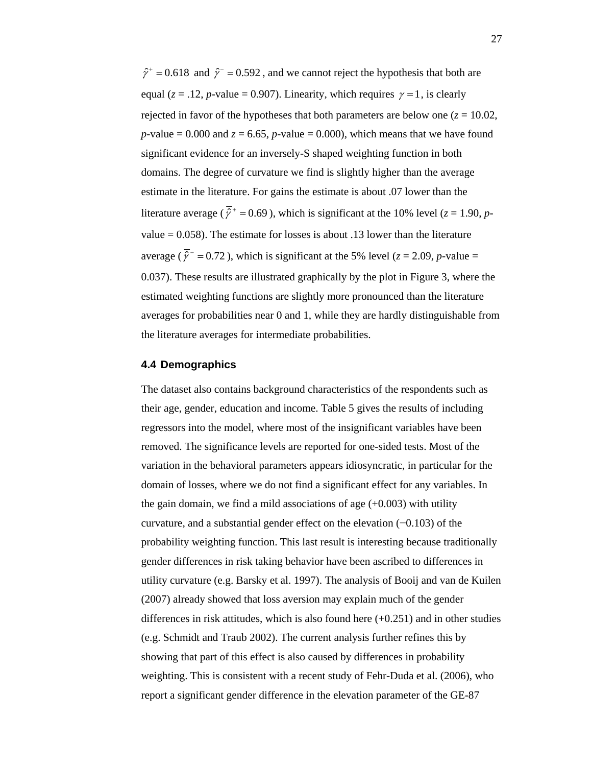$\hat{\gamma}^* = 0.618$  and  $\hat{\gamma}^* = 0.592$ , and we cannot reject the hypothesis that both are equal ( $z = .12$ , *p*-value = 0.907). Linearity, which requires  $\gamma = 1$ , is clearly rejected in favor of the hypotheses that both parameters are below one ( $z = 10.02$ , *p*-value = 0.000 and  $z = 6.65$ , *p*-value = 0.000), which means that we have found significant evidence for an inversely-S shaped weighting function in both domains. The degree of curvature we find is slightly higher than the average estimate in the literature. For gains the estimate is about .07 lower than the literature average ( $\overline{\hat{\gamma}}^+$  = 0.69), which is significant at the 10% level ( $z$  = 1.90, *p*value  $= 0.058$ ). The estimate for losses is about .13 lower than the literature average ( $\overline{\hat{\gamma}}$  = 0.72), which is significant at the 5% level ( $z = 2.09$ , *p*-value = 0.037). These results are illustrated graphically by the plot in Figure 3, where the estimated weighting functions are slightly more pronounced than the literature averages for probabilities near 0 and 1, while they are hardly distinguishable from the literature averages for intermediate probabilities.

#### **4.4 Demographics**

The dataset also contains background characteristics of the respondents such as their age, gender, education and income. Table 5 gives the results of including regressors into the model, where most of the insignificant variables have been removed. The significance levels are reported for one-sided tests. Most of the variation in the behavioral parameters appears idiosyncratic, in particular for the domain of losses, where we do not find a significant effect for any variables. In the gain domain, we find a mild associations of age  $(+0.003)$  with utility curvature, and a substantial gender effect on the elevation (−0.103) of the probability weighting function. This last result is interesting because traditionally gender differences in risk taking behavior have been ascribed to differences in utility curvature (e.g. Barsky et al. 1997). The analysis of Booij and van de Kuilen (2007) already showed that loss aversion may explain much of the gender differences in risk attitudes, which is also found here (+0.251) and in other studies (e.g. Schmidt and Traub 2002). The current analysis further refines this by showing that part of this effect is also caused by differences in probability weighting. This is consistent with a recent study of Fehr-Duda et al. (2006), who report a significant gender difference in the elevation parameter of the GE-87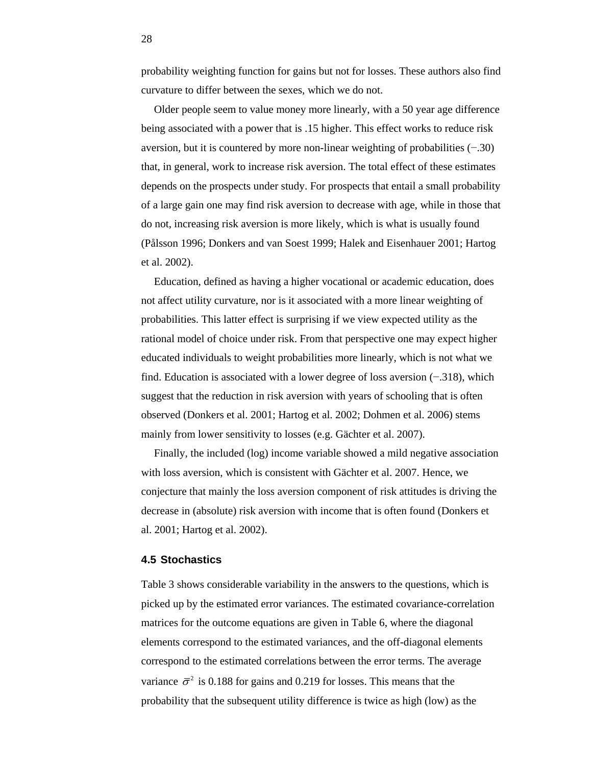probability weighting function for gains but not for losses. These authors also find curvature to differ between the sexes, which we do not.

Older people seem to value money more linearly, with a 50 year age difference being associated with a power that is .15 higher. This effect works to reduce risk aversion, but it is countered by more non-linear weighting of probabilities (−.30) that, in general, work to increase risk aversion. The total effect of these estimates depends on the prospects under study. For prospects that entail a small probability of a large gain one may find risk aversion to decrease with age, while in those that do not, increasing risk aversion is more likely, which is what is usually found (Pålsson 1996; Donkers and van Soest 1999; Halek and Eisenhauer 2001; Hartog et al. 2002).

Education, defined as having a higher vocational or academic education, does not affect utility curvature, nor is it associated with a more linear weighting of probabilities. This latter effect is surprising if we view expected utility as the rational model of choice under risk. From that perspective one may expect higher educated individuals to weight probabilities more linearly, which is not what we find. Education is associated with a lower degree of loss aversion (−.318), which suggest that the reduction in risk aversion with years of schooling that is often observed (Donkers et al. 2001; Hartog et al. 2002; Dohmen et al. 2006) stems mainly from lower sensitivity to losses (e.g. Gächter et al. 2007).

Finally, the included (log) income variable showed a mild negative association with loss aversion, which is consistent with Gächter et al. 2007. Hence, we conjecture that mainly the loss aversion component of risk attitudes is driving the decrease in (absolute) risk aversion with income that is often found (Donkers et al. 2001; Hartog et al. 2002).

#### **4.5 Stochastics**

Table 3 shows considerable variability in the answers to the questions, which is picked up by the estimated error variances. The estimated covariance-correlation matrices for the outcome equations are given in Table 6, where the diagonal elements correspond to the estimated variances, and the off-diagonal elements correspond to the estimated correlations between the error terms. The average variance  $\bar{\sigma}^2$  is 0.188 for gains and 0.219 for losses. This means that the probability that the subsequent utility difference is twice as high (low) as the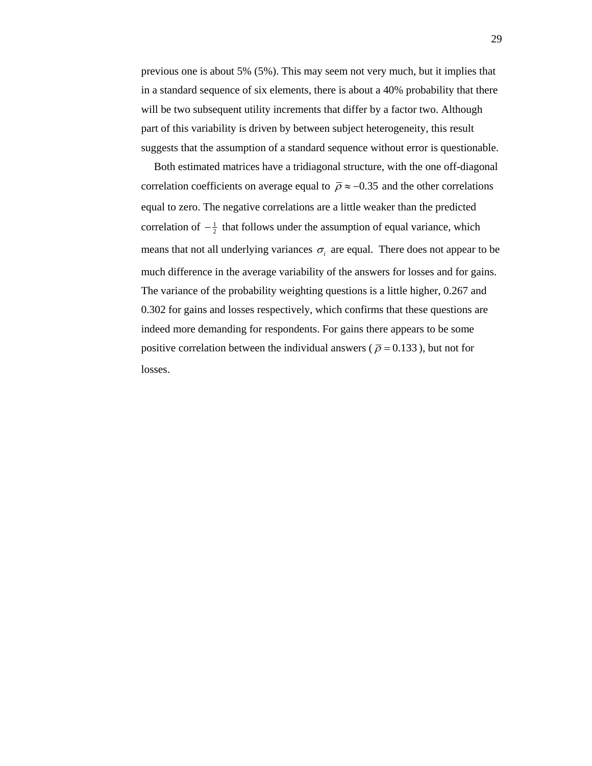previous one is about 5% (5%). This may seem not very much, but it implies that in a standard sequence of six elements, there is about a 40% probability that there will be two subsequent utility increments that differ by a factor two. Although part of this variability is driven by between subject heterogeneity, this result suggests that the assumption of a standard sequence without error is questionable.

Both estimated matrices have a tridiagonal structure, with the one off-diagonal correlation coefficients on average equal to  $\bar{\rho} \approx -0.35$  and the other correlations equal to zero. The negative correlations are a little weaker than the predicted correlation of  $-\frac{1}{2}$  that follows under the assumption of equal variance, which means that not all underlying variances  $\sigma_i$  are equal. There does not appear to be much difference in the average variability of the answers for losses and for gains. The variance of the probability weighting questions is a little higher, 0.267 and 0.302 for gains and losses respectively, which confirms that these questions are indeed more demanding for respondents. For gains there appears to be some positive correlation between the individual answers ( $\bar{\rho} = 0.133$ ), but not for losses.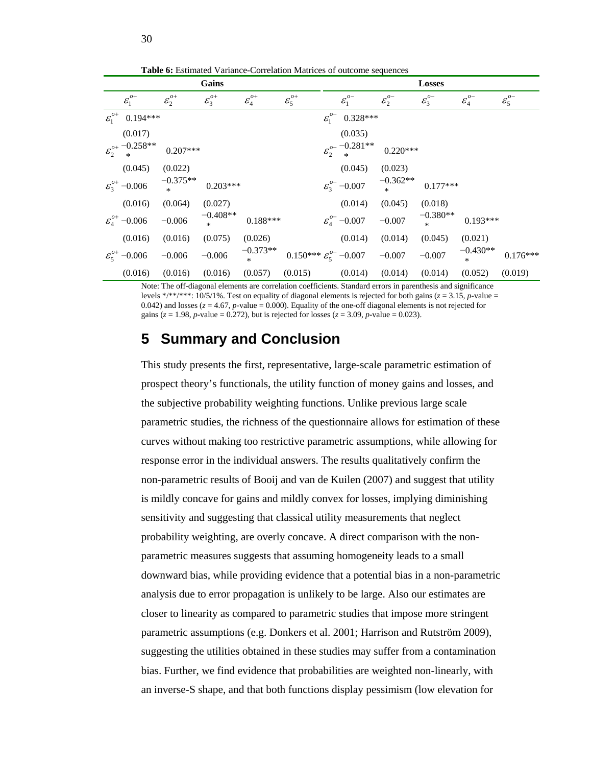|                         |                                             |                                         | Gains                                   |                                 |                                        | Losses               |                                         |                                  |                                         |                                                              |                        |
|-------------------------|---------------------------------------------|-----------------------------------------|-----------------------------------------|---------------------------------|----------------------------------------|----------------------|-----------------------------------------|----------------------------------|-----------------------------------------|--------------------------------------------------------------|------------------------|
|                         | $\mathcal{E}_1^{o+}$                        | $\varepsilon_2^{\scriptscriptstyle o+}$ | $\varepsilon_3^{\scriptscriptstyle o+}$ | $\mathcal{E}_4^{o+}$            | $\varepsilon_{5}^{o+}$                 |                      | $\varepsilon_1^{\circ -}$               | $\varepsilon_{2}^{o-}$           | $\varepsilon_3^{\scriptscriptstyle o-}$ | $\varepsilon_{\scriptscriptstyle 4}^{\scriptscriptstyle o-}$ | $\varepsilon_{5}^{o-}$ |
| $\varepsilon_1^{\rho+}$ | $0.194***$                                  |                                         |                                         |                                 |                                        | $\mathcal{E}_1^{o-}$ | $0.328***$                              |                                  |                                         |                                                              |                        |
| $\varepsilon_2^{o+}$    | (0.017)<br>$-0.258**$                       | $0.207***$                              |                                         |                                 |                                        |                      | (0.035)<br>$\varepsilon_2^{o-}-0.281**$ | $0.220***$                       |                                         |                                                              |                        |
|                         | (0.045)<br>$\varepsilon_3^{\circ +}$ -0.006 | (0.022)<br>$-0.375**$                   | $0.203***$                              |                                 |                                        |                      | (0.045)<br>$\varepsilon_3^{o-}$ –0.007  | (0.023)<br>$-0.362**$<br>$\star$ | $0.177***$                              |                                                              |                        |
|                         | (0.016)<br>$\varepsilon_4^{\rho+}$ –0.006   | (0.064)<br>$-0.006$                     | (0.027)<br>$-0.408**$                   | $0.188***$                      |                                        |                      | (0.014)<br>$\varepsilon_{4}^{o-}-0.007$ | (0.045)<br>$-0.007$              | (0.018)<br>$-0.380**$<br>$\ast$         | $0.193***$                                                   |                        |
|                         | (0.016)<br>$\varepsilon_{5}^{o+}$ -0.006    | (0.016)<br>$-0.006$                     | (0.075)<br>$-0.006$                     | (0.026)<br>$-0.373**$<br>$\ast$ | $0.150***\ \varepsilon_{5}^{o-}-0.007$ |                      | (0.014)                                 | (0.014)<br>$-0.007$              | (0.045)<br>$-0.007$                     | (0.021)<br>$-0.430**$<br>$\ast$                              | $0.176***$             |
|                         | (0.016)                                     | (0.016)                                 | (0.016)                                 | (0.057)                         | (0.015)                                |                      | (0.014)                                 | (0.014)                          | (0.014)                                 | (0.052)                                                      | (0.019)                |

Table 6: Estimated Variance-Correlation Matrices of outcome sequences

Note: The off-diagonal elements are correlation coefficients. Standard errors in parenthesis and significance levels \*/\*\*/\*\*\*: 10/5/1%. Test on equality of diagonal elements is rejected for both gains ( $z = 3.15$ , *p*-value = 0.042) and losses ( $z = 4.67$ ,  $p$ -value = 0.000). Equality of the one-off diagonal elements is not rejected for gains ( $z = 1.98$ , *p*-value = 0.272), but is rejected for losses ( $z = 3.09$ , *p*-value = 0.023).

### **5 Summary and Conclusion**

This study presents the first, representative, large-scale parametric estimation of prospect theory's functionals, the utility function of money gains and losses, and the subjective probability weighting functions. Unlike previous large scale parametric studies, the richness of the questionnaire allows for estimation of these curves without making too restrictive parametric assumptions, while allowing for response error in the individual answers. The results qualitatively confirm the non-parametric results of Booij and van de Kuilen (2007) and suggest that utility is mildly concave for gains and mildly convex for losses, implying diminishing sensitivity and suggesting that classical utility measurements that neglect probability weighting, are overly concave. A direct comparison with the nonparametric measures suggests that assuming homogeneity leads to a small downward bias, while providing evidence that a potential bias in a non-parametric analysis due to error propagation is unlikely to be large. Also our estimates are closer to linearity as compared to parametric studies that impose more stringent parametric assumptions (e.g. Donkers et al. 2001; Harrison and Rutström 2009), suggesting the utilities obtained in these studies may suffer from a contamination bias. Further, we find evidence that probabilities are weighted non-linearly, with an inverse-S shape, and that both functions display pessimism (low elevation for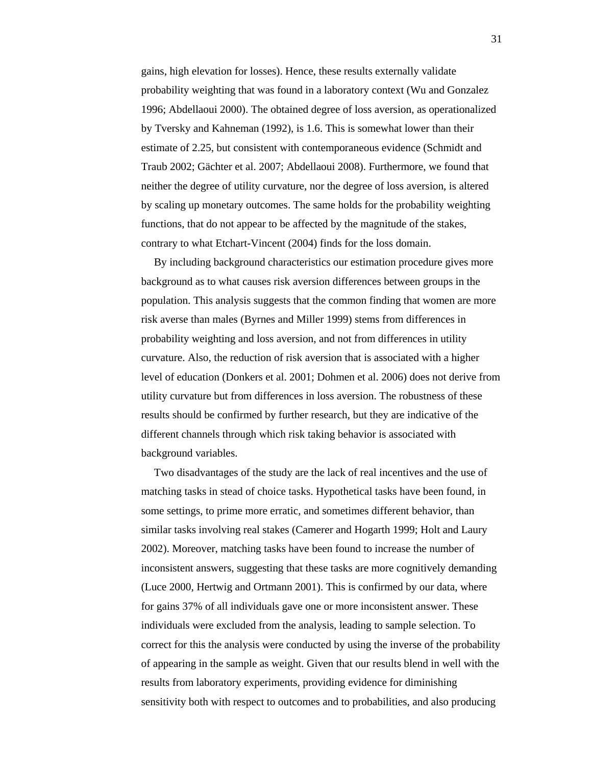gains, high elevation for losses). Hence, these results externally validate probability weighting that was found in a laboratory context (Wu and Gonzalez 1996; Abdellaoui 2000). The obtained degree of loss aversion, as operationalized by Tversky and Kahneman (1992), is 1.6. This is somewhat lower than their estimate of 2.25, but consistent with contemporaneous evidence (Schmidt and Traub 2002; Gächter et al. 2007; Abdellaoui 2008). Furthermore, we found that neither the degree of utility curvature, nor the degree of loss aversion, is altered by scaling up monetary outcomes. The same holds for the probability weighting functions, that do not appear to be affected by the magnitude of the stakes, contrary to what Etchart-Vincent (2004) finds for the loss domain.

By including background characteristics our estimation procedure gives more background as to what causes risk aversion differences between groups in the population. This analysis suggests that the common finding that women are more risk averse than males (Byrnes and Miller 1999) stems from differences in probability weighting and loss aversion, and not from differences in utility curvature. Also, the reduction of risk aversion that is associated with a higher level of education (Donkers et al. 2001; Dohmen et al. 2006) does not derive from utility curvature but from differences in loss aversion. The robustness of these results should be confirmed by further research, but they are indicative of the different channels through which risk taking behavior is associated with background variables.

Two disadvantages of the study are the lack of real incentives and the use of matching tasks in stead of choice tasks. Hypothetical tasks have been found, in some settings, to prime more erratic, and sometimes different behavior, than similar tasks involving real stakes (Camerer and Hogarth 1999; Holt and Laury 2002). Moreover, matching tasks have been found to increase the number of inconsistent answers, suggesting that these tasks are more cognitively demanding (Luce 2000, Hertwig and Ortmann 2001). This is confirmed by our data, where for gains 37% of all individuals gave one or more inconsistent answer. These individuals were excluded from the analysis, leading to sample selection. To correct for this the analysis were conducted by using the inverse of the probability of appearing in the sample as weight. Given that our results blend in well with the results from laboratory experiments, providing evidence for diminishing sensitivity both with respect to outcomes and to probabilities, and also producing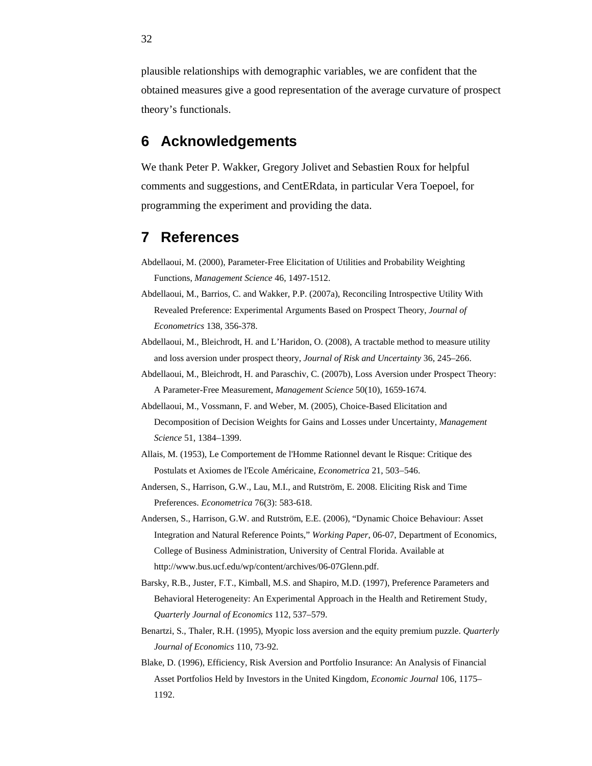plausible relationships with demographic variables, we are confident that the obtained measures give a good representation of the average curvature of prospect theory's functionals.

### **6 Acknowledgements**

We thank Peter P. Wakker, Gregory Jolivet and Sebastien Roux for helpful comments and suggestions, and CentERdata, in particular Vera Toepoel, for programming the experiment and providing the data.

## **7 References**

- Abdellaoui, M. (2000), Parameter-Free Elicitation of Utilities and Probability Weighting Functions, *Management Science* 46, 1497-1512.
- Abdellaoui, M., Barrios, C. and Wakker, P.P. (2007a), Reconciling Introspective Utility With Revealed Preference: Experimental Arguments Based on Prospect Theory, *Journal of Econometrics* 138, 356-378.
- Abdellaoui, M., Bleichrodt, H. and L'Haridon, O. (2008), A tractable method to measure utility and loss aversion under prospect theory, *Journal of Risk and Uncertainty* 36, 245–266.
- Abdellaoui, M., Bleichrodt, H. and Paraschiv, C. (2007b), Loss Aversion under Prospect Theory: A Parameter-Free Measurement, *Management Science* 50(10), 1659-1674*.*
- Abdellaoui, M., Vossmann, F. and Weber, M. (2005), Choice-Based Elicitation and Decomposition of Decision Weights for Gains and Losses under Uncertainty, *Management Science* 51, 1384–1399.
- Allais, M. (1953), Le Comportement de l'Homme Rationnel devant le Risque: Critique des Postulats et Axiomes de l'Ecole Américaine, *Econometrica* 21, 503−546.
- Andersen, S., Harrison, G.W., Lau, M.I., and Rutström, E. 2008. Eliciting Risk and Time Preferences. *Econometrica* 76(3): 583-618.
- Andersen, S., Harrison, G.W. and Rutström, E.E. (2006), "Dynamic Choice Behaviour: Asset Integration and Natural Reference Points," *Working Paper*, 06-07, Department of Economics, College of Business Administration, University of Central Florida. Available at http://www.bus.ucf.edu/wp/content/archives/06-07Glenn.pdf.
- Barsky, R.B., Juster, F.T., Kimball, M.S. and Shapiro, M.D. (1997), Preference Parameters and Behavioral Heterogeneity: An Experimental Approach in the Health and Retirement Study, *Quarterly Journal of Economics* 112, 537–579.
- Benartzi, S., Thaler, R.H. (1995), Myopic loss aversion and the equity premium puzzle. *Quarterly Journal of Economics* 110, 73-92.
- Blake, D. (1996), Efficiency, Risk Aversion and Portfolio Insurance: An Analysis of Financial Asset Portfolios Held by Investors in the United Kingdom, *Economic Journal* 106, 1175– 1192.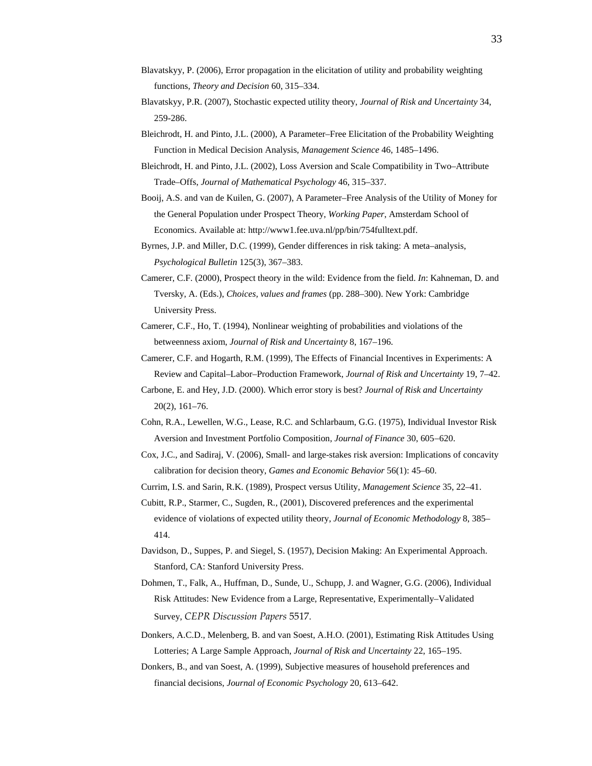- Blavatskyy, P. (2006), Error propagation in the elicitation of utility and probability weighting functions, *Theory and Decision* 60, 315–334.
- Blavatskyy, P.R. (2007), Stochastic expected utility theory, *Journal of Risk and Uncertainty* 34, 259-286.
- Bleichrodt, H. and Pinto, J.L. (2000), A Parameter–Free Elicitation of the Probability Weighting Function in Medical Decision Analysis, *Management Science* 46, 1485–1496.
- Bleichrodt, H. and Pinto, J.L. (2002), Loss Aversion and Scale Compatibility in Two–Attribute Trade–Offs, *Journal of Mathematical Psychology* 46, 315–337.
- Booij, A.S. and van de Kuilen, G. (2007), A Parameter–Free Analysis of the Utility of Money for the General Population under Prospect Theory, *Working Paper*, Amsterdam School of Economics. Available at: http://www1.fee.uva.nl/pp/bin/754fulltext.pdf.
- Byrnes, J.P. and Miller, D.C. (1999), Gender differences in risk taking: A meta–analysis, *Psychological Bulletin* 125(3), 367–383.
- Camerer, C.F. (2000), Prospect theory in the wild: Evidence from the field. *In*: Kahneman, D. and Tversky, A. (Eds.), *Choices, values and frames* (pp. 288–300). New York: Cambridge University Press.
- Camerer, C.F., Ho, T. (1994), Nonlinear weighting of probabilities and violations of the betweenness axiom, *Journal of Risk and Uncertainty* 8, 167–196.
- Camerer, C.F. and Hogarth, R.M. (1999), The Effects of Financial Incentives in Experiments: A Review and Capital–Labor–Production Framework, *Journal of Risk and Uncertainty* 19, 7–42.
- Carbone, E. and Hey, J.D. (2000). Which error story is best? *Journal of Risk and Uncertainty* 20(2), 161–76.
- Cohn, R.A., Lewellen, W.G., Lease, R.C. and Schlarbaum, G.G. (1975), Individual Investor Risk Aversion and Investment Portfolio Composition, *Journal of Finance* 30, 605−620.
- Cox, J.C., and Sadiraj, V. (2006), Small- and large-stakes risk aversion: Implications of concavity calibration for decision theory, *Games and Economic Behavior* 56(1): 45–60.
- Currim, I.S. and Sarin, R.K. (1989), Prospect versus Utility, *Management Science* 35, 22–41.
- Cubitt, R.P., Starmer, C., Sugden, R., (2001), Discovered preferences and the experimental evidence of violations of expected utility theory, *Journal of Economic Methodology* 8, 385– 414.
- Davidson, D., Suppes, P. and Siegel, S. (1957), Decision Making: An Experimental Approach. Stanford, CA: Stanford University Press.
- Dohmen, T., Falk, A., Huffman, D., Sunde, U., Schupp, J. and Wagner, G.G. (2006), Individual Risk Attitudes: New Evidence from a Large, Representative, Experimentally–Validated Survey, *CEPR Discussion Papers* 5517.
- Donkers, A.C.D., Melenberg, B. and van Soest, A.H.O. (2001), Estimating Risk Attitudes Using Lotteries; A Large Sample Approach, *Journal of Risk and Uncertainty* 22, 165–195.
- Donkers, B., and van Soest, A. (1999), Subjective measures of household preferences and financial decisions, *Journal of Economic Psychology* 20, 613–642.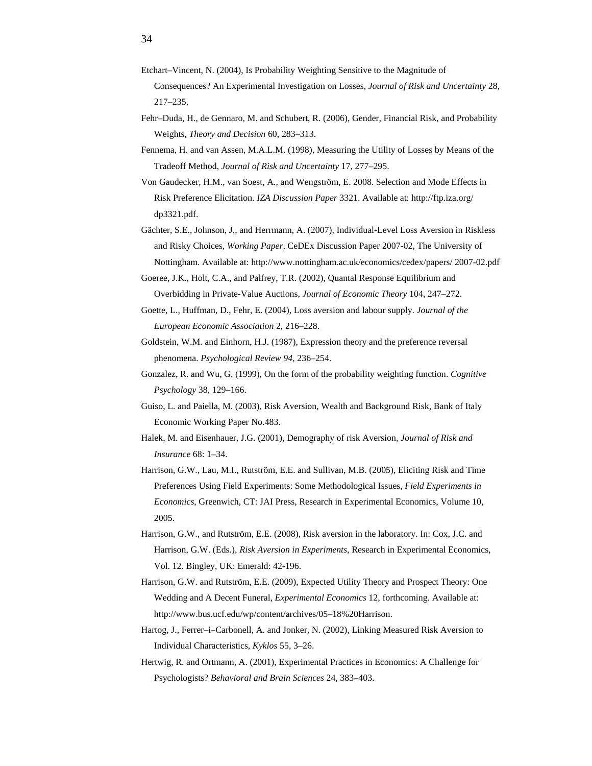- Etchart–Vincent, N. (2004), Is Probability Weighting Sensitive to the Magnitude of Consequences? An Experimental Investigation on Losses, *Journal of Risk and Uncertainty* 28, 217–235.
- Fehr–Duda, H., de Gennaro, M. and Schubert, R. (2006), Gender, Financial Risk, and Probability Weights, *Theory and Decision* 60, 283–313.
- Fennema, H. and van Assen, M.A.L.M. (1998), Measuring the Utility of Losses by Means of the Tradeoff Method, *Journal of Risk and Uncertainty* 17, 277–295.
- Von Gaudecker, H.M., van Soest, A., and Wengström, E. 2008. Selection and Mode Effects in Risk Preference Elicitation. *IZA Discussion Paper* 3321. Available at: http://ftp.iza.org/ dp3321.pdf.
- Gächter, S.E., Johnson, J., and Herrmann, A. (2007), Individual-Level Loss Aversion in Riskless and Risky Choices, *Working Paper,* CeDEx Discussion Paper 2007-02, The University of Nottingham. Available at: http://www.nottingham.ac.uk/economics/cedex/papers/ 2007-02.pdf
- Goeree, J.K., Holt, C.A., and Palfrey, T.R. (2002), Quantal Response Equilibrium and Overbidding in Private-Value Auctions, *Journal of Economic Theory* 104, 247–272.
- Goette, L., Huffman, D., Fehr, E. (2004), Loss aversion and labour supply. *Journal of the European Economic Association* 2, 216–228.
- Goldstein, W.M. and Einhorn, H.J. (1987), Expression theory and the preference reversal phenomena. *Psychological Review 94*, 236–254.
- Gonzalez, R. and Wu, G. (1999), On the form of the probability weighting function. *Cognitive Psychology* 38, 129–166.
- Guiso, L. and Paiella, M. (2003), Risk Aversion, Wealth and Background Risk, Bank of Italy Economic Working Paper No.483.
- Halek, M. and Eisenhauer, J.G. (2001), Demography of risk Aversion, *Journal of Risk and Insurance* 68: 1–34.
- Harrison, G.W., Lau, M.I., Rutström, E.E. and Sullivan, M.B. (2005), Eliciting Risk and Time Preferences Using Field Experiments: Some Methodological Issues, *Field Experiments in Economics*, Greenwich, CT: JAI Press, Research in Experimental Economics, Volume 10, 2005.
- Harrison, G.W., and Rutström, E.E. (2008), Risk aversion in the laboratory. In: Cox, J.C. and Harrison, G.W. (Eds.), *Risk Aversion in Experiments*, Research in Experimental Economics, Vol. 12. Bingley, UK: Emerald: 42-196.
- Harrison, G.W. and Rutström, E.E. (2009), Expected Utility Theory and Prospect Theory: One Wedding and A Decent Funeral, *Experimental Economics* 12, forthcoming. Available at: http://www.bus.ucf.edu/wp/content/archives/05–18%20Harrison.
- Hartog, J., Ferrer–i–Carbonell, A. and Jonker, N. (2002), Linking Measured Risk Aversion to Individual Characteristics, *Kyklos* 55, 3–26.
- Hertwig, R. and Ortmann, A. (2001), Experimental Practices in Economics: A Challenge for Psychologists? *Behavioral and Brain Sciences* 24, 383–403.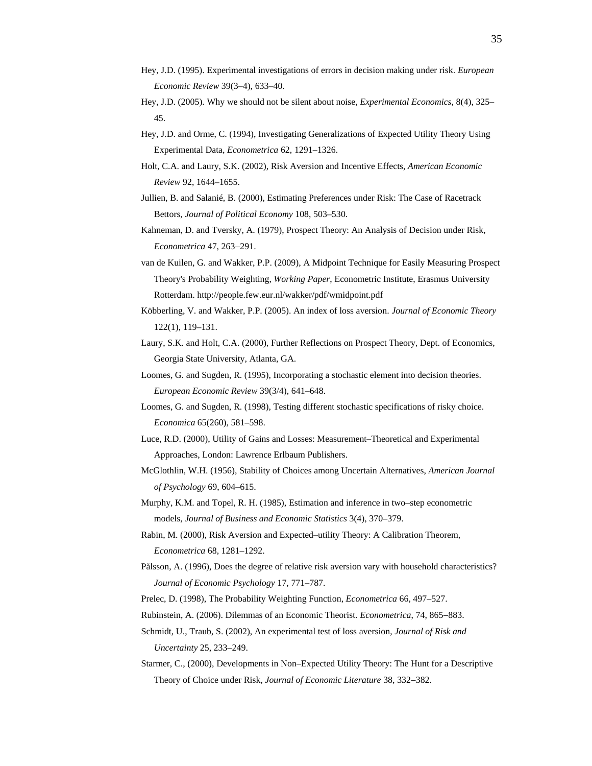- Hey, J.D. (1995). Experimental investigations of errors in decision making under risk. *European Economic Review* 39(3–4), 633–40.
- Hey, J.D. (2005). Why we should not be silent about noise, *Experimental Economics*, 8(4), 325– 45.
- Hey, J.D. and Orme, C. (1994), Investigating Generalizations of Expected Utility Theory Using Experimental Data, *Econometrica* 62, 1291–1326.
- Holt, C.A. and Laury, S.K. (2002), Risk Aversion and Incentive Effects, *American Economic Review* 92, 1644–1655.
- Jullien, B. and Salanié, B. (2000), Estimating Preferences under Risk: The Case of Racetrack Bettors, *Journal of Political Economy* 108, 503–530.
- Kahneman, D. and Tversky, A. (1979), Prospect Theory: An Analysis of Decision under Risk, *Econometrica* 47, 263−291.
- van de Kuilen, G. and Wakker, P.P. (2009), A Midpoint Technique for Easily Measuring Prospect Theory's Probability Weighting, *Working Paper*, Econometric Institute, Erasmus University Rotterdam. http://people.few.eur.nl/wakker/pdf/wmidpoint.pdf
- Köbberling, V. and Wakker, P.P. (2005). An index of loss aversion. *Journal of Economic Theory* 122(1), 119–131.
- Laury, S.K. and Holt, C.A. (2000), Further Reflections on Prospect Theory, Dept. of Economics, Georgia State University, Atlanta, GA.
- Loomes, G. and Sugden, R. (1995), Incorporating a stochastic element into decision theories. *European Economic Review* 39(3/4), 641–648.
- Loomes, G. and Sugden, R. (1998), Testing different stochastic specifications of risky choice. *Economica* 65(260), 581–598.
- Luce, R.D. (2000), Utility of Gains and Losses: Measurement–Theoretical and Experimental Approaches, London: Lawrence Erlbaum Publishers.
- McGlothlin, W.H. (1956), Stability of Choices among Uncertain Alternatives, *American Journal of Psychology* 69, 604–615.
- Murphy, K.M. and Topel, R. H. (1985), Estimation and inference in two–step econometric models, *Journal of Business and Economic Statistics* 3(4), 370–379.
- Rabin, M. (2000), Risk Aversion and Expected–utility Theory: A Calibration Theorem, *Econometrica* 68, 1281–1292.
- Pålsson, A. (1996), Does the degree of relative risk aversion vary with household characteristics? *Journal of Economic Psychology* 17, 771–787.
- Prelec, D. (1998), The Probability Weighting Function, *Econometrica* 66, 497–527.
- Rubinstein, A. (2006). Dilemmas of an Economic Theorist. *Econometrica*, 74, 865−883.
- Schmidt, U., Traub, S. (2002), An experimental test of loss aversion, *Journal of Risk and Uncertainty* 25, 233–249.
- Starmer, C., (2000), Developments in Non–Expected Utility Theory: The Hunt for a Descriptive Theory of Choice under Risk, *Journal of Economic Literature* 38, 332−382.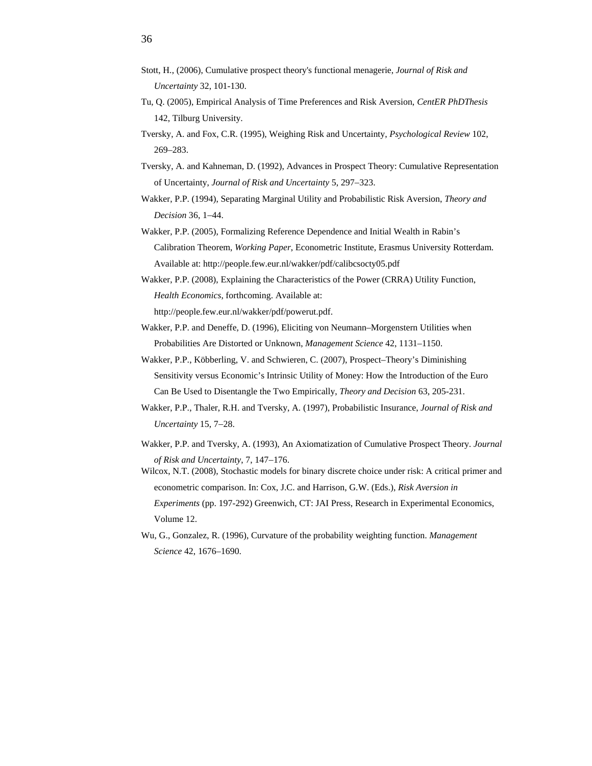- Stott, H., (2006), Cumulative prospect theory's functional menagerie, *Journal of Risk and Uncertainty* 32, 101-130.
- Tu, Q. (2005), Empirical Analysis of Time Preferences and Risk Aversion, *CentER PhDThesis* 142, Tilburg University.
- Tversky, A. and Fox, C.R. (1995), Weighing Risk and Uncertainty, *Psychological Review* 102, 269–283.
- Tversky, A. and Kahneman, D. (1992), Advances in Prospect Theory: Cumulative Representation of Uncertainty, *Journal of Risk and Uncertainty* 5, 297−323.
- Wakker, P.P. (1994), Separating Marginal Utility and Probabilistic Risk Aversion, *Theory and Decision* 36, 1−44.
- Wakker, P.P. (2005), Formalizing Reference Dependence and Initial Wealth in Rabin's Calibration Theorem, *Working Paper*, Econometric Institute, Erasmus University Rotterdam. Available at: http://people.few.eur.nl/wakker/pdf/calibcsocty05.pdf
- Wakker, P.P. (2008), Explaining the Characteristics of the Power (CRRA) Utility Function, *Health Economics*, forthcoming. Available at:

http://people.few.eur.nl/wakker/pdf/powerut.pdf.

- Wakker, P.P. and Deneffe, D. (1996), Eliciting von Neumann–Morgenstern Utilities when Probabilities Are Distorted or Unknown, *Management Science* 42, 1131–1150.
- Wakker, P.P., Köbberling, V. and Schwieren, C. (2007), Prospect–Theory's Diminishing Sensitivity versus Economic's Intrinsic Utility of Money: How the Introduction of the Euro Can Be Used to Disentangle the Two Empirically, *Theory and Decision* 63, 205-231.
- Wakker, P.P., Thaler, R.H. and Tversky, A. (1997), Probabilistic Insurance, *Journal of Risk and Uncertainty* 15, 7−28.
- Wakker, P.P. and Tversky, A. (1993), An Axiomatization of Cumulative Prospect Theory. *Journal of Risk and Uncertainty*, 7, 147−176.
- Wilcox, N.T. (2008), Stochastic models for binary discrete choice under risk: A critical primer and econometric comparison. In: Cox, J.C. and Harrison, G.W. (Eds.), *Risk Aversion in* 
	- *Experiments* (pp. 197-292) Greenwich, CT: JAI Press, Research in Experimental Economics, Volume 12.
- Wu, G., Gonzalez, R. (1996), Curvature of the probability weighting function. *Management Science* 42, 1676–1690.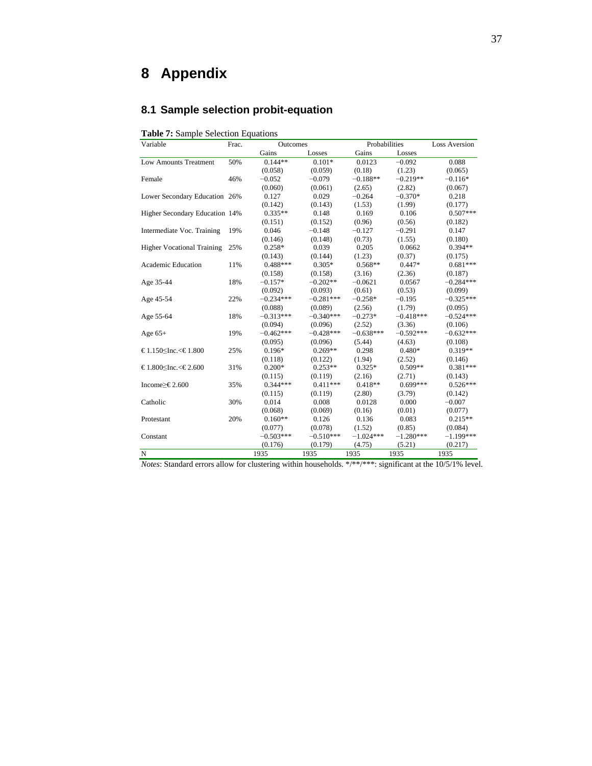## **8 Appendix**

### **8.1 Sample selection probit-equation**

**Table 7:** Sample Selection Equations

| Variable                          | Frac. | Outcomes    |             | Probabilities | Loss Aversion |             |
|-----------------------------------|-------|-------------|-------------|---------------|---------------|-------------|
|                                   |       | Gains       | Losses      | Gains         | Losses        |             |
| <b>Low Amounts Treatment</b>      | 50%   | $0.144**$   | $0.101*$    | 0.0123        | $-0.092$      | 0.088       |
|                                   |       | (0.058)     | (0.059)     | (0.18)        | (1.23)        | (0.065)     |
| Female                            | 46%   | $-0.052$    | $-0.079$    | $-0.188**$    | $-0.219**$    | $-0.116*$   |
|                                   |       | (0.060)     | (0.061)     | (2.65)        | (2.82)        | (0.067)     |
| Lower Secondary Education 26%     |       | 0.127       | 0.029       | $-0.264$      | $-0.370*$     | 0.218       |
|                                   |       | (0.142)     | (0.143)     | (1.53)        | (1.99)        | (0.177)     |
| Higher Secondary Education 14%    |       | $0.335**$   | 0.148       | 0.169         | 0.106         | $0.507***$  |
|                                   |       | (0.151)     | (0.152)     | (0.96)        | (0.56)        | (0.182)     |
| Intermediate Voc. Training        | 19%   | 0.046       | $-0.148$    | $-0.127$      | $-0.291$      | 0.147       |
|                                   |       | (0.146)     | (0.148)     | (0.73)        | (1.55)        | (0.180)     |
| <b>Higher Vocational Training</b> | 25%   | $0.258*$    | 0.039       | 0.205         | 0.0662        | $0.394**$   |
|                                   |       | (0.143)     | (0.144)     | (1.23)        | (0.37)        | (0.175)     |
| Academic Education                | 11%   | $0.488***$  | $0.305*$    | $0.568**$     | 0.447*        | $0.681***$  |
|                                   |       | (0.158)     | (0.158)     | (3.16)        | (2.36)        | (0.187)     |
| Age 35-44                         | 18%   | $-0.157*$   | $-0.202**$  | $-0.0621$     | 0.0567        | $-0.284***$ |
|                                   |       | (0.092)     | (0.093)     | (0.61)        | (0.53)        | (0.099)     |
| Age 45-54                         | 22%   | $-0.234***$ | $-0.281***$ | $-0.258*$     | $-0.195$      | $-0.325***$ |
|                                   |       | (0.088)     | (0.089)     | (2.56)        | (1.79)        | (0.095)     |
| Age 55-64                         | 18%   | $-0.313***$ | $-0.340***$ | $-0.273*$     | $-0.418***$   | $-0.524***$ |
|                                   |       | (0.094)     | (0.096)     | (2.52)        | (3.36)        | (0.106)     |
| Age $65+$                         | 19%   | $-0.462***$ | $-0.428***$ | $-0.638***$   | $-0.592***$   | $-0.632***$ |
|                                   |       | (0.095)     | (0.096)     | (5.44)        | (4.63)        | (0.108)     |
| $€1.150 \leq Inc. \lt E1.800$     | 25%   | $0.196*$    | $0.269**$   | 0.298         | $0.480*$      | $0.319**$   |
|                                   |       | (0.118)     | (0.122)     | (1.94)        | (2.52)        | (0.146)     |
| €1.800 SInc. < €2.600             | 31%   | $0.200*$    | $0.253**$   | $0.325*$      | $0.509**$     | $0.381***$  |
|                                   |       | (0.115)     | (0.119)     | (2.16)        | (2.71)        | (0.143)     |
| Income $\geq \epsilon 2.600$      | 35%   | $0.344***$  | $0.411***$  | $0.418**$     | $0.699***$    | $0.526***$  |
|                                   |       | (0.115)     | (0.119)     | (2.80)        | (3.79)        | (0.142)     |
| Catholic                          | 30%   | 0.014       | 0.008       | 0.0128        | 0.000         | $-0.007$    |
|                                   |       | (0.068)     | (0.069)     | (0.16)        | (0.01)        | (0.077)     |
| Protestant                        | 20%   | $0.160**$   | 0.126       | 0.136         | 0.083         | $0.215**$   |
|                                   |       | (0.077)     | (0.078)     | (1.52)        | (0.85)        | (0.084)     |
| Constant                          |       | $-0.503***$ | $-0.510***$ | $-1.024***$   | $-1.280***$   | $-1.199***$ |
|                                   |       | (0.176)     | (0.179)     | (4.75)        | (5.21)        | (0.217)     |
| $\mathbf N$                       |       | 1935        | 1935        | 1935          | 1935          | 1935        |

*Notes*: Standard errors allow for clustering within households. \*/\*\*/\*\*\*: significant at the 10/5/1% level.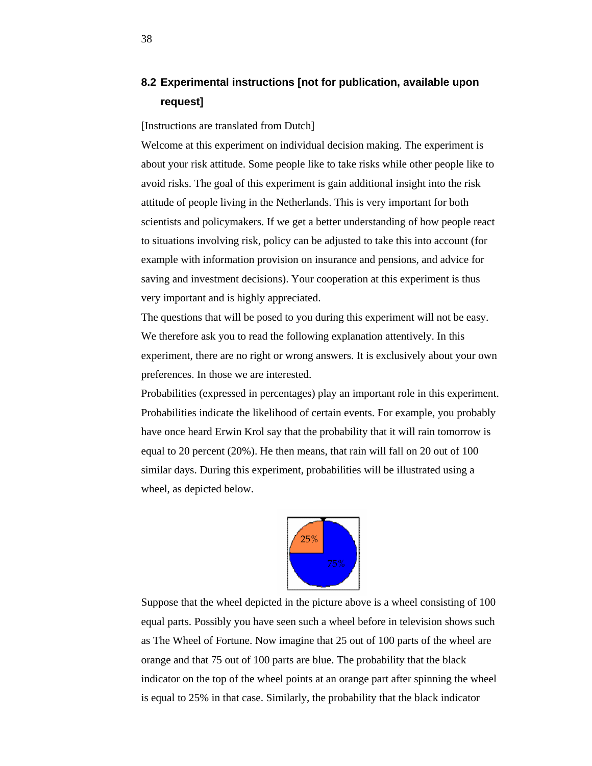## **8.2 Experimental instructions [not for publication, available upon request]**

[Instructions are translated from Dutch]

Welcome at this experiment on individual decision making. The experiment is about your risk attitude. Some people like to take risks while other people like to avoid risks. The goal of this experiment is gain additional insight into the risk attitude of people living in the Netherlands. This is very important for both scientists and policymakers. If we get a better understanding of how people react to situations involving risk, policy can be adjusted to take this into account (for example with information provision on insurance and pensions, and advice for saving and investment decisions). Your cooperation at this experiment is thus very important and is highly appreciated.

The questions that will be posed to you during this experiment will not be easy. We therefore ask you to read the following explanation attentively. In this experiment, there are no right or wrong answers. It is exclusively about your own preferences. In those we are interested.

Probabilities (expressed in percentages) play an important role in this experiment. Probabilities indicate the likelihood of certain events. For example, you probably have once heard Erwin Krol say that the probability that it will rain tomorrow is equal to 20 percent (20%). He then means, that rain will fall on 20 out of 100 similar days. During this experiment, probabilities will be illustrated using a wheel, as depicted below.



Suppose that the wheel depicted in the picture above is a wheel consisting of 100 equal parts. Possibly you have seen such a wheel before in television shows such as The Wheel of Fortune. Now imagine that 25 out of 100 parts of the wheel are orange and that 75 out of 100 parts are blue. The probability that the black indicator on the top of the wheel points at an orange part after spinning the wheel is equal to 25% in that case. Similarly, the probability that the black indicator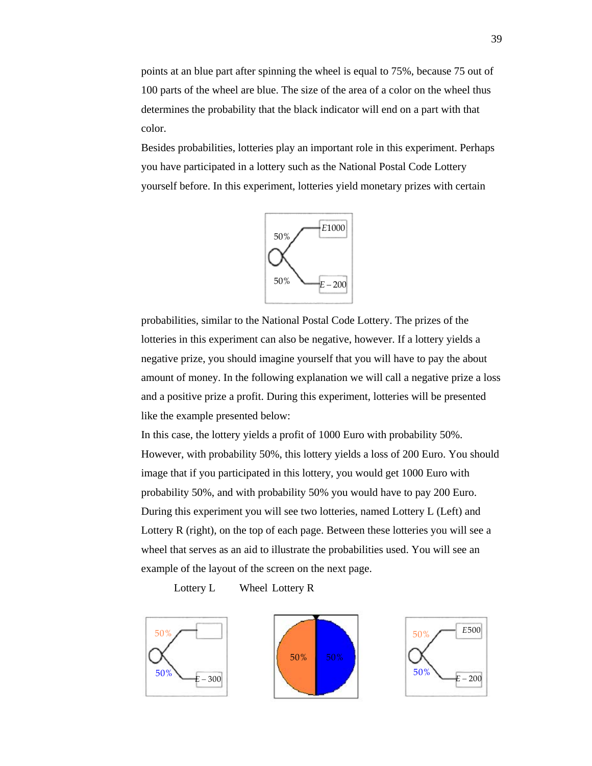points at an blue part after spinning the wheel is equal to 75%, because 75 out of 100 parts of the wheel are blue. The size of the area of a color on the wheel thus determines the probability that the black indicator will end on a part with that color.

Besides probabilities, lotteries play an important role in this experiment. Perhaps you have participated in a lottery such as the National Postal Code Lottery yourself before. In this experiment, lotteries yield monetary prizes with certain



probabilities, similar to the National Postal Code Lottery. The prizes of the lotteries in this experiment can also be negative, however. If a lottery yields a negative prize, you should imagine yourself that you will have to pay the about amount of money. In the following explanation we will call a negative prize a loss and a positive prize a profit. During this experiment, lotteries will be presented like the example presented below:

In this case, the lottery yields a profit of 1000 Euro with probability 50%. However, with probability 50%, this lottery yields a loss of 200 Euro. You should image that if you participated in this lottery, you would get 1000 Euro with probability 50%, and with probability 50% you would have to pay 200 Euro. During this experiment you will see two lotteries, named Lottery L (Left) and Lottery R (right), on the top of each page. Between these lotteries you will see a wheel that serves as an aid to illustrate the probabilities used. You will see an example of the layout of the screen on the next page.

Lottery L Wheel Lottery R





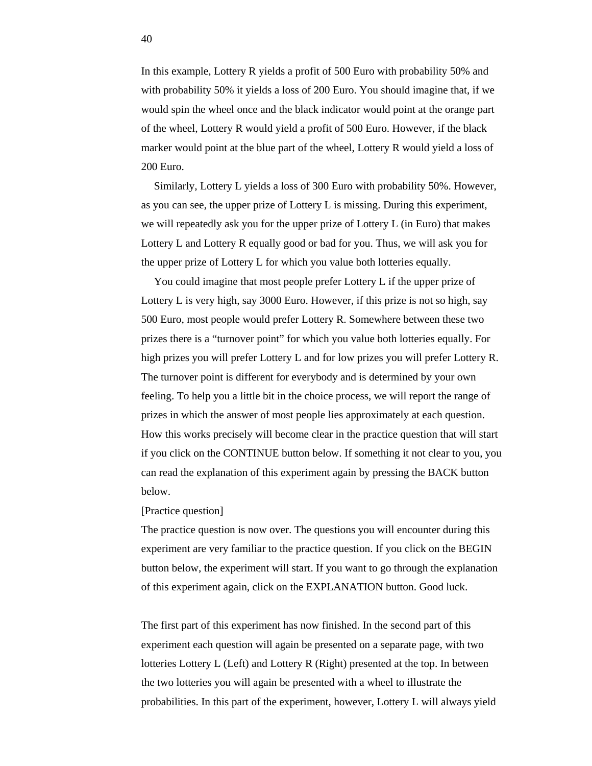In this example, Lottery R yields a profit of 500 Euro with probability 50% and with probability 50% it yields a loss of 200 Euro. You should imagine that, if we would spin the wheel once and the black indicator would point at the orange part of the wheel, Lottery R would yield a profit of 500 Euro. However, if the black marker would point at the blue part of the wheel, Lottery R would yield a loss of 200 Euro.

Similarly, Lottery L yields a loss of 300 Euro with probability 50%. However, as you can see, the upper prize of Lottery L is missing. During this experiment, we will repeatedly ask you for the upper prize of Lottery L (in Euro) that makes Lottery L and Lottery R equally good or bad for you. Thus, we will ask you for the upper prize of Lottery L for which you value both lotteries equally.

You could imagine that most people prefer Lottery L if the upper prize of Lottery L is very high, say 3000 Euro. However, if this prize is not so high, say 500 Euro, most people would prefer Lottery R. Somewhere between these two prizes there is a "turnover point" for which you value both lotteries equally. For high prizes you will prefer Lottery L and for low prizes you will prefer Lottery R. The turnover point is different for everybody and is determined by your own feeling. To help you a little bit in the choice process, we will report the range of prizes in which the answer of most people lies approximately at each question. How this works precisely will become clear in the practice question that will start if you click on the CONTINUE button below. If something it not clear to you, you can read the explanation of this experiment again by pressing the BACK button below.

#### [Practice question]

The practice question is now over. The questions you will encounter during this experiment are very familiar to the practice question. If you click on the BEGIN button below, the experiment will start. If you want to go through the explanation of this experiment again, click on the EXPLANATION button. Good luck.

The first part of this experiment has now finished. In the second part of this experiment each question will again be presented on a separate page, with two lotteries Lottery L (Left) and Lottery R (Right) presented at the top. In between the two lotteries you will again be presented with a wheel to illustrate the probabilities. In this part of the experiment, however, Lottery L will always yield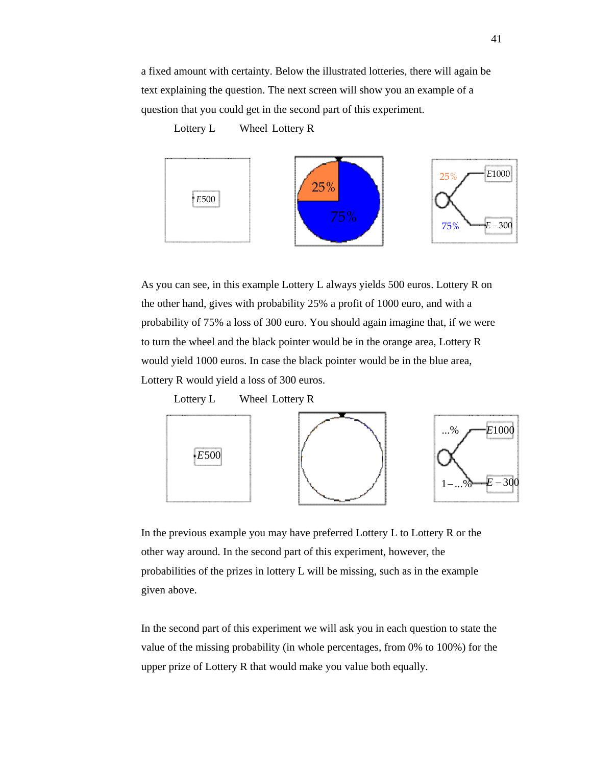a fixed amount with certainty. Below the illustrated lotteries, there will again be text explaining the question. The next screen will show you an example of a question that you could get in the second part of this experiment.

Lottery L Wheel Lottery R



As you can see, in this example Lottery L always yields 500 euros. Lottery R on the other hand, gives with probability 25% a profit of 1000 euro, and with a probability of 75% a loss of 300 euro. You should again imagine that, if we were to turn the wheel and the black pointer would be in the orange area, Lottery R would yield 1000 euros. In case the black pointer would be in the blue area, Lottery R would yield a loss of 300 euros.





In the previous example you may have preferred Lottery L to Lottery R or the other way around. In the second part of this experiment, however, the probabilities of the prizes in lottery L will be missing, such as in the example given above.

In the second part of this experiment we will ask you in each question to state the value of the missing probability (in whole percentages, from 0% to 100%) for the upper prize of Lottery R that would make you value both equally.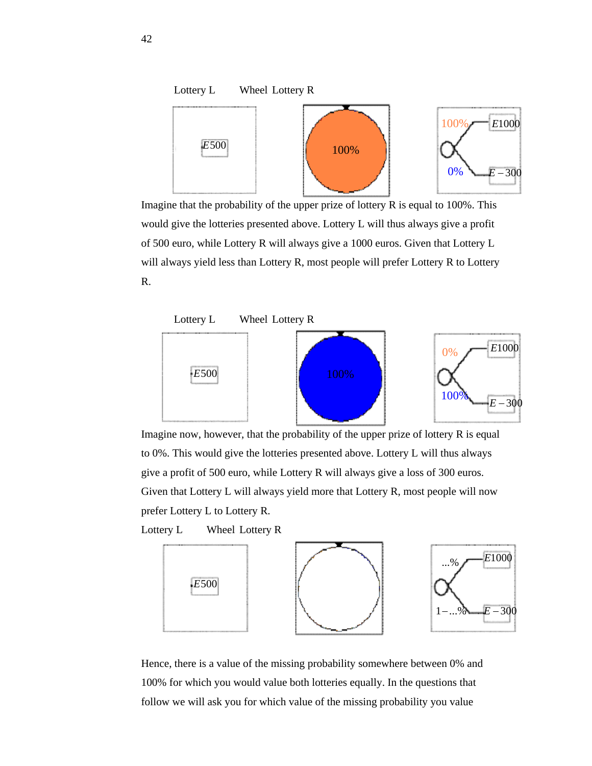![](_page_43_Figure_0.jpeg)

Imagine that the probability of the upper prize of lottery R is equal to 100%. This would give the lotteries presented above. Lottery L will thus always give a profit of 500 euro, while Lottery R will always give a 1000 euros. Given that Lottery L will always yield less than Lottery R, most people will prefer Lottery R to Lottery R.

![](_page_43_Figure_2.jpeg)

Imagine now, however, that the probability of the upper prize of lottery R is equal to 0%. This would give the lotteries presented above. Lottery L will thus always give a profit of 500 euro, while Lottery R will always give a loss of 300 euros. Given that Lottery L will always yield more that Lottery R, most people will now prefer Lottery L to Lottery R.

Lottery L Wheel Lottery R

![](_page_43_Picture_5.jpeg)

Hence, there is a value of the missing probability somewhere between 0% and 100% for which you would value both lotteries equally. In the questions that follow we will ask you for which value of the missing probability you value